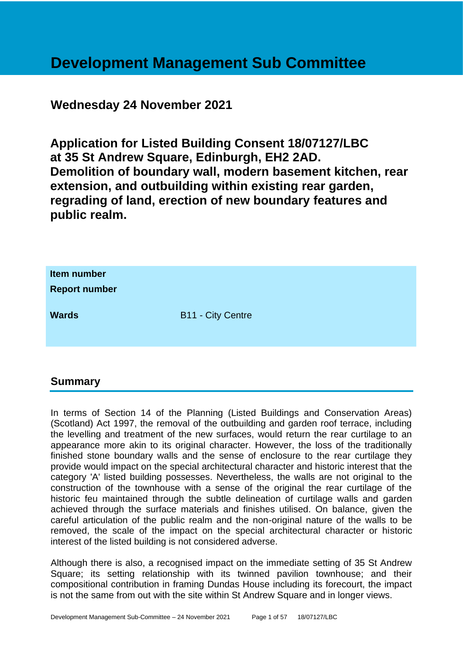# **Development Management Sub Committee**

# **Wednesday 24 November 2021**

**Application for Listed Building Consent 18/07127/LBC at 35 St Andrew Square, Edinburgh, EH2 2AD. Demolition of boundary wall, modern basement kitchen, rear extension, and outbuilding within existing rear garden, regrading of land, erection of new boundary features and public realm.**

| Item number<br><b>Report number</b> |                          |
|-------------------------------------|--------------------------|
| <b>Wards</b>                        | <b>B11 - City Centre</b> |

# **Summary**

In terms of Section 14 of the Planning (Listed Buildings and Conservation Areas) (Scotland) Act 1997, the removal of the outbuilding and garden roof terrace, including the levelling and treatment of the new surfaces, would return the rear curtilage to an appearance more akin to its original character. However, the loss of the traditionally finished stone boundary walls and the sense of enclosure to the rear curtilage they provide would impact on the special architectural character and historic interest that the category 'A' listed building possesses. Nevertheless, the walls are not original to the construction of the townhouse with a sense of the original the rear curtilage of the historic feu maintained through the subtle delineation of curtilage walls and garden achieved through the surface materials and finishes utilised. On balance, given the careful articulation of the public realm and the non-original nature of the walls to be removed, the scale of the impact on the special architectural character or historic interest of the listed building is not considered adverse.

Although there is also, a recognised impact on the immediate setting of 35 St Andrew Square; its setting relationship with its twinned pavilion townhouse; and their compositional contribution in framing Dundas House including its forecourt, the impact is not the same from out with the site within St Andrew Square and in longer views.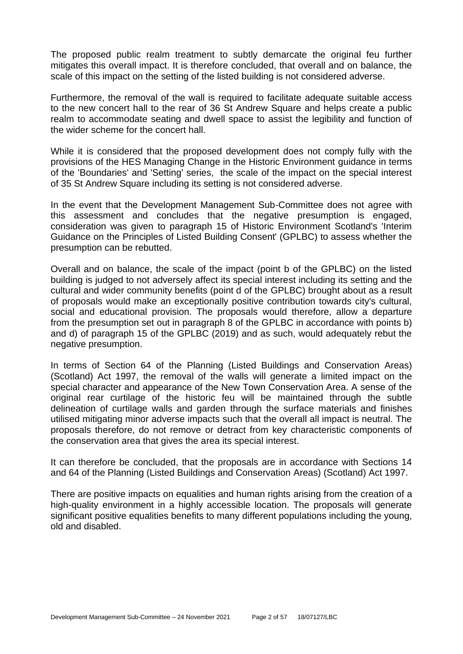The proposed public realm treatment to subtly demarcate the original feu further mitigates this overall impact. It is therefore concluded, that overall and on balance, the scale of this impact on the setting of the listed building is not considered adverse.

Furthermore, the removal of the wall is required to facilitate adequate suitable access to the new concert hall to the rear of 36 St Andrew Square and helps create a public realm to accommodate seating and dwell space to assist the legibility and function of the wider scheme for the concert hall.

While it is considered that the proposed development does not comply fully with the provisions of the HES Managing Change in the Historic Environment guidance in terms of the 'Boundaries' and 'Setting' series, the scale of the impact on the special interest of 35 St Andrew Square including its setting is not considered adverse.

In the event that the Development Management Sub-Committee does not agree with this assessment and concludes that the negative presumption is engaged, consideration was given to paragraph 15 of Historic Environment Scotland's 'Interim Guidance on the Principles of Listed Building Consent' (GPLBC) to assess whether the presumption can be rebutted.

Overall and on balance, the scale of the impact (point b of the GPLBC) on the listed building is judged to not adversely affect its special interest including its setting and the cultural and wider community benefits (point d of the GPLBC) brought about as a result of proposals would make an exceptionally positive contribution towards city's cultural, social and educational provision. The proposals would therefore, allow a departure from the presumption set out in paragraph 8 of the GPLBC in accordance with points b) and d) of paragraph 15 of the GPLBC (2019) and as such, would adequately rebut the negative presumption.

In terms of Section 64 of the Planning (Listed Buildings and Conservation Areas) (Scotland) Act 1997, the removal of the walls will generate a limited impact on the special character and appearance of the New Town Conservation Area. A sense of the original rear curtilage of the historic feu will be maintained through the subtle delineation of curtilage walls and garden through the surface materials and finishes utilised mitigating minor adverse impacts such that the overall all impact is neutral. The proposals therefore, do not remove or detract from key characteristic components of the conservation area that gives the area its special interest.

It can therefore be concluded, that the proposals are in accordance with Sections 14 and 64 of the Planning (Listed Buildings and Conservation Areas) (Scotland) Act 1997.

There are positive impacts on equalities and human rights arising from the creation of a high-quality environment in a highly accessible location. The proposals will generate significant positive equalities benefits to many different populations including the young, old and disabled.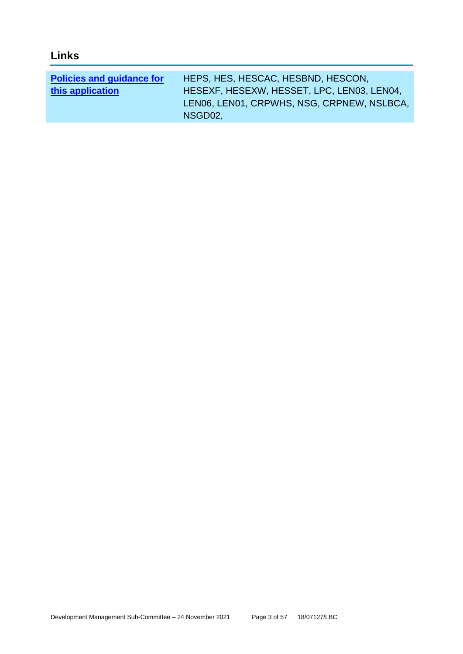| <b>Policies and guidance for</b> | HEPS, HES, HESCAC, HESBND, HESCON,         |
|----------------------------------|--------------------------------------------|
| this application                 | HESEXF, HESEXW, HESSET, LPC, LEN03, LEN04, |
|                                  | LEN06, LEN01, CRPWHS, NSG, CRPNEW, NSLBCA, |
|                                  | NSGD02.                                    |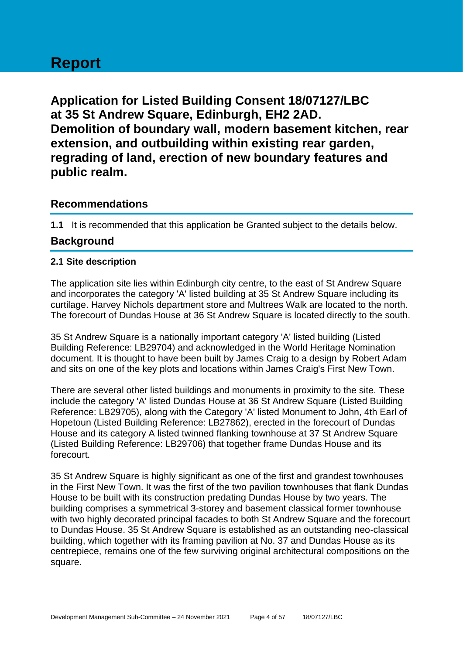# **Report**

**Application for Listed Building Consent 18/07127/LBC at 35 St Andrew Square, Edinburgh, EH2 2AD. Demolition of boundary wall, modern basement kitchen, rear extension, and outbuilding within existing rear garden, regrading of land, erection of new boundary features and public realm.**

# **Recommendations**

**1.1** It is recommended that this application be Granted subject to the details below.

# **Background**

# **2.1 Site description**

The application site lies within Edinburgh city centre, to the east of St Andrew Square and incorporates the category 'A' listed building at 35 St Andrew Square including its curtilage. Harvey Nichols department store and Multrees Walk are located to the north. The forecourt of Dundas House at 36 St Andrew Square is located directly to the south.

35 St Andrew Square is a nationally important category 'A' listed building (Listed Building Reference: LB29704) and acknowledged in the World Heritage Nomination document. It is thought to have been built by James Craig to a design by Robert Adam and sits on one of the key plots and locations within James Craig's First New Town.

There are several other listed buildings and monuments in proximity to the site. These include the category 'A' listed Dundas House at 36 St Andrew Square (Listed Building Reference: LB29705), along with the Category 'A' listed Monument to John, 4th Earl of Hopetoun (Listed Building Reference: LB27862), erected in the forecourt of Dundas House and its category A listed twinned flanking townhouse at 37 St Andrew Square (Listed Building Reference: LB29706) that together frame Dundas House and its forecourt.

35 St Andrew Square is highly significant as one of the first and grandest townhouses in the First New Town. It was the first of the two pavilion townhouses that flank Dundas House to be built with its construction predating Dundas House by two years. The building comprises a symmetrical 3-storey and basement classical former townhouse with two highly decorated principal facades to both St Andrew Square and the forecourt to Dundas House. 35 St Andrew Square is established as an outstanding neo-classical building, which together with its framing pavilion at No. 37 and Dundas House as its centrepiece, remains one of the few surviving original architectural compositions on the square.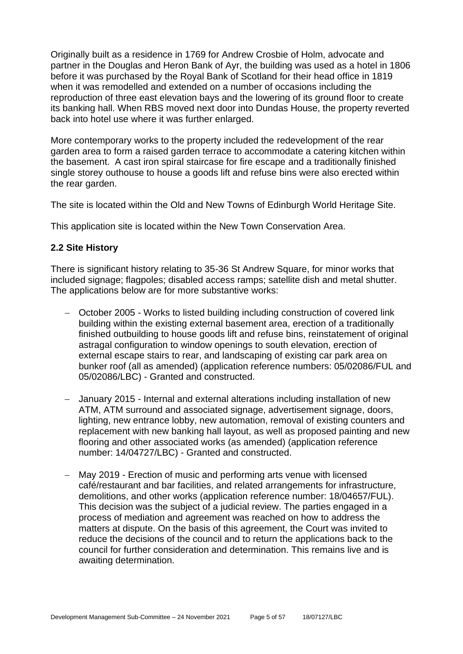Originally built as a residence in 1769 for Andrew Crosbie of Holm, advocate and partner in the Douglas and Heron Bank of Ayr, the building was used as a hotel in 1806 before it was purchased by the Royal Bank of Scotland for their head office in 1819 when it was remodelled and extended on a number of occasions including the reproduction of three east elevation bays and the lowering of its ground floor to create its banking hall. When RBS moved next door into Dundas House, the property reverted back into hotel use where it was further enlarged.

More contemporary works to the property included the redevelopment of the rear garden area to form a raised garden terrace to accommodate a catering kitchen within the basement. A cast iron spiral staircase for fire escape and a traditionally finished single storey outhouse to house a goods lift and refuse bins were also erected within the rear garden.

The site is located within the Old and New Towns of Edinburgh World Heritage Site.

This application site is located within the New Town Conservation Area.

# **2.2 Site History**

There is significant history relating to 35-36 St Andrew Square, for minor works that included signage; flagpoles; disabled access ramps; satellite dish and metal shutter. The applications below are for more substantive works:

- − October 2005 Works to listed building including construction of covered link building within the existing external basement area, erection of a traditionally finished outbuilding to house goods lift and refuse bins, reinstatement of original astragal configuration to window openings to south elevation, erection of external escape stairs to rear, and landscaping of existing car park area on bunker roof (all as amended) (application reference numbers: 05/02086/FUL and 05/02086/LBC) - Granted and constructed.
- − January 2015 Internal and external alterations including installation of new ATM, ATM surround and associated signage, advertisement signage, doors, lighting, new entrance lobby, new automation, removal of existing counters and replacement with new banking hall layout, as well as proposed painting and new flooring and other associated works (as amended) (application reference number: 14/04727/LBC) - Granted and constructed.
- − May 2019 Erection of music and performing arts venue with licensed café/restaurant and bar facilities, and related arrangements for infrastructure, demolitions, and other works (application reference number: 18/04657/FUL). This decision was the subject of a judicial review. The parties engaged in a process of mediation and agreement was reached on how to address the matters at dispute. On the basis of this agreement, the Court was invited to reduce the decisions of the council and to return the applications back to the council for further consideration and determination. This remains live and is awaiting determination.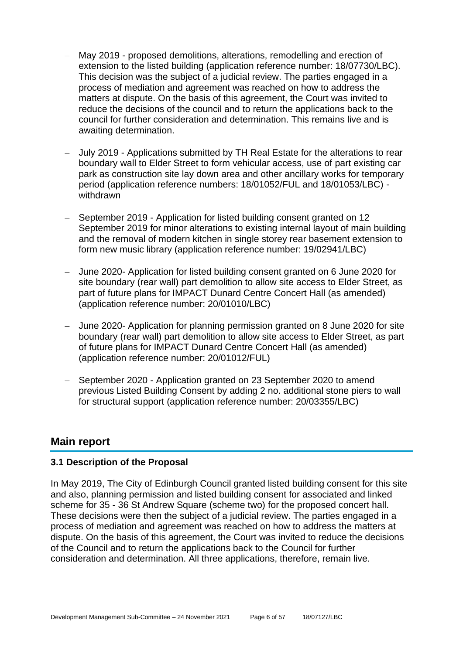- − May 2019 proposed demolitions, alterations, remodelling and erection of extension to the listed building (application reference number: 18/07730/LBC). This decision was the subject of a judicial review. The parties engaged in a process of mediation and agreement was reached on how to address the matters at dispute. On the basis of this agreement, the Court was invited to reduce the decisions of the council and to return the applications back to the council for further consideration and determination. This remains live and is awaiting determination.
- − July 2019 Applications submitted by TH Real Estate for the alterations to rear boundary wall to Elder Street to form vehicular access, use of part existing car park as construction site lay down area and other ancillary works for temporary period (application reference numbers: 18/01052/FUL and 18/01053/LBC) withdrawn
- − September 2019 Application for listed building consent granted on 12 September 2019 for minor alterations to existing internal layout of main building and the removal of modern kitchen in single storey rear basement extension to form new music library (application reference number: 19/02941/LBC)
- − June 2020- Application for listed building consent granted on 6 June 2020 for site boundary (rear wall) part demolition to allow site access to Elder Street, as part of future plans for IMPACT Dunard Centre Concert Hall (as amended) (application reference number: 20/01010/LBC)
- − June 2020- Application for planning permission granted on 8 June 2020 for site boundary (rear wall) part demolition to allow site access to Elder Street, as part of future plans for IMPACT Dunard Centre Concert Hall (as amended) (application reference number: 20/01012/FUL)
- − September 2020 Application granted on 23 September 2020 to amend previous Listed Building Consent by adding 2 no. additional stone piers to wall for structural support (application reference number: 20/03355/LBC)

# **Main report**

# **3.1 Description of the Proposal**

In May 2019, The City of Edinburgh Council granted listed building consent for this site and also, planning permission and listed building consent for associated and linked scheme for 35 - 36 St Andrew Square (scheme two) for the proposed concert hall. These decisions were then the subject of a judicial review. The parties engaged in a process of mediation and agreement was reached on how to address the matters at dispute. On the basis of this agreement, the Court was invited to reduce the decisions of the Council and to return the applications back to the Council for further consideration and determination. All three applications, therefore, remain live.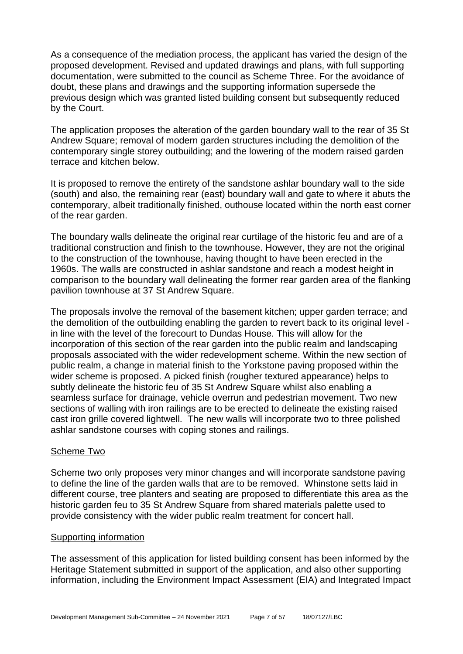As a consequence of the mediation process, the applicant has varied the design of the proposed development. Revised and updated drawings and plans, with full supporting documentation, were submitted to the council as Scheme Three. For the avoidance of doubt, these plans and drawings and the supporting information supersede the previous design which was granted listed building consent but subsequently reduced by the Court.

The application proposes the alteration of the garden boundary wall to the rear of 35 St Andrew Square; removal of modern garden structures including the demolition of the contemporary single storey outbuilding; and the lowering of the modern raised garden terrace and kitchen below.

It is proposed to remove the entirety of the sandstone ashlar boundary wall to the side (south) and also, the remaining rear (east) boundary wall and gate to where it abuts the contemporary, albeit traditionally finished, outhouse located within the north east corner of the rear garden.

The boundary walls delineate the original rear curtilage of the historic feu and are of a traditional construction and finish to the townhouse. However, they are not the original to the construction of the townhouse, having thought to have been erected in the 1960s. The walls are constructed in ashlar sandstone and reach a modest height in comparison to the boundary wall delineating the former rear garden area of the flanking pavilion townhouse at 37 St Andrew Square.

The proposals involve the removal of the basement kitchen; upper garden terrace; and the demolition of the outbuilding enabling the garden to revert back to its original level in line with the level of the forecourt to Dundas House. This will allow for the incorporation of this section of the rear garden into the public realm and landscaping proposals associated with the wider redevelopment scheme. Within the new section of public realm, a change in material finish to the Yorkstone paving proposed within the wider scheme is proposed. A picked finish (rougher textured appearance) helps to subtly delineate the historic feu of 35 St Andrew Square whilst also enabling a seamless surface for drainage, vehicle overrun and pedestrian movement. Two new sections of walling with iron railings are to be erected to delineate the existing raised cast iron grille covered lightwell. The new walls will incorporate two to three polished ashlar sandstone courses with coping stones and railings.

# Scheme Two

Scheme two only proposes very minor changes and will incorporate sandstone paving to define the line of the garden walls that are to be removed. Whinstone setts laid in different course, tree planters and seating are proposed to differentiate this area as the historic garden feu to 35 St Andrew Square from shared materials palette used to provide consistency with the wider public realm treatment for concert hall.

#### Supporting information

The assessment of this application for listed building consent has been informed by the Heritage Statement submitted in support of the application, and also other supporting information, including the Environment Impact Assessment (EIA) and Integrated Impact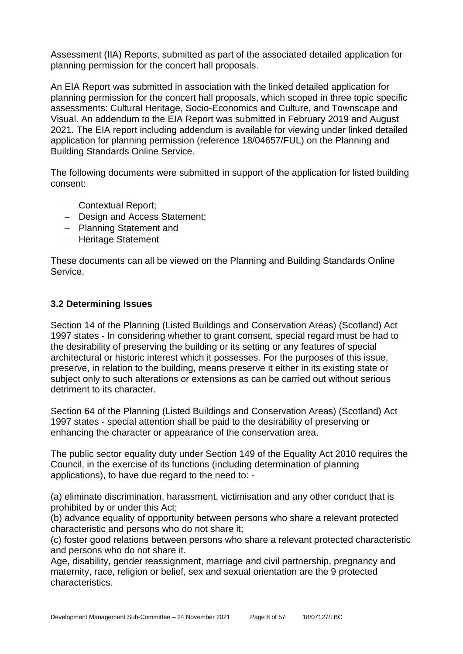Assessment (IIA) Reports, submitted as part of the associated detailed application for planning permission for the concert hall proposals.

An EIA Report was submitted in association with the linked detailed application for planning permission for the concert hall proposals, which scoped in three topic specific assessments: Cultural Heritage, Socio-Economics and Culture, and Townscape and Visual. An addendum to the EIA Report was submitted in February 2019 and August 2021. The EIA report including addendum is available for viewing under linked detailed application for planning permission (reference 18/04657/FUL) on the Planning and Building Standards Online Service.

The following documents were submitted in support of the application for listed building consent:

- − Contextual Report;
- − Design and Access Statement;
- − Planning Statement and
- − Heritage Statement

These documents can all be viewed on the Planning and Building Standards Online Service.

# **3.2 Determining Issues**

Section 14 of the Planning (Listed Buildings and Conservation Areas) (Scotland) Act 1997 states - In considering whether to grant consent, special regard must be had to the desirability of preserving the building or its setting or any features of special architectural or historic interest which it possesses. For the purposes of this issue, preserve, in relation to the building, means preserve it either in its existing state or subject only to such alterations or extensions as can be carried out without serious detriment to its character.

Section 64 of the Planning (Listed Buildings and Conservation Areas) (Scotland) Act 1997 states - special attention shall be paid to the desirability of preserving or enhancing the character or appearance of the conservation area.

The public sector equality duty under Section 149 of the Equality Act 2010 requires the Council, in the exercise of its functions (including determination of planning applications), to have due regard to the need to: -

(a) eliminate discrimination, harassment, victimisation and any other conduct that is prohibited by or under this Act;

(b) advance equality of opportunity between persons who share a relevant protected characteristic and persons who do not share it;

(c) foster good relations between persons who share a relevant protected characteristic and persons who do not share it.

Age, disability, gender reassignment, marriage and civil partnership, pregnancy and maternity, race, religion or belief, sex and sexual orientation are the 9 protected characteristics.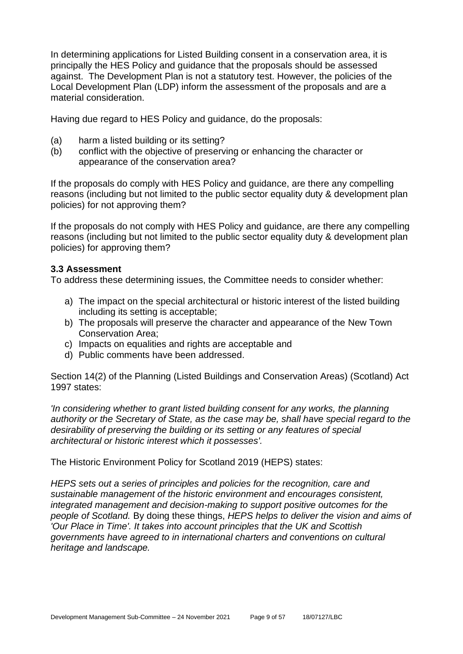In determining applications for Listed Building consent in a conservation area, it is principally the HES Policy and guidance that the proposals should be assessed against. The Development Plan is not a statutory test. However, the policies of the Local Development Plan (LDP) inform the assessment of the proposals and are a material consideration.

Having due regard to HES Policy and guidance, do the proposals:

- (a) harm a listed building or its setting?
- (b) conflict with the objective of preserving or enhancing the character or appearance of the conservation area?

If the proposals do comply with HES Policy and guidance, are there any compelling reasons (including but not limited to the public sector equality duty & development plan policies) for not approving them?

If the proposals do not comply with HES Policy and guidance, are there any compelling reasons (including but not limited to the public sector equality duty & development plan policies) for approving them?

#### **3.3 Assessment**

To address these determining issues, the Committee needs to consider whether:

- a) The impact on the special architectural or historic interest of the listed building including its setting is acceptable;
- b) The proposals will preserve the character and appearance of the New Town Conservation Area;
- c) Impacts on equalities and rights are acceptable and
- d) Public comments have been addressed.

Section 14(2) of the Planning (Listed Buildings and Conservation Areas) (Scotland) Act 1997 states:

*'In considering whether to grant listed building consent for any works, the planning authority or the Secretary of State, as the case may be, shall have special regard to the desirability of preserving the building or its setting or any features of special architectural or historic interest which it possesses'.*

The Historic Environment Policy for Scotland 2019 (HEPS) states:

*HEPS sets out a series of principles and policies for the recognition, care and sustainable management of the historic environment and encourages consistent, integrated management and decision-making to support positive outcomes for the people of Scotland.* By doing these things, *HEPS helps to deliver the vision and aims of 'Our Place in Time'. It takes into account principles that the UK and Scottish governments have agreed to in international charters and conventions on cultural heritage and landscape.*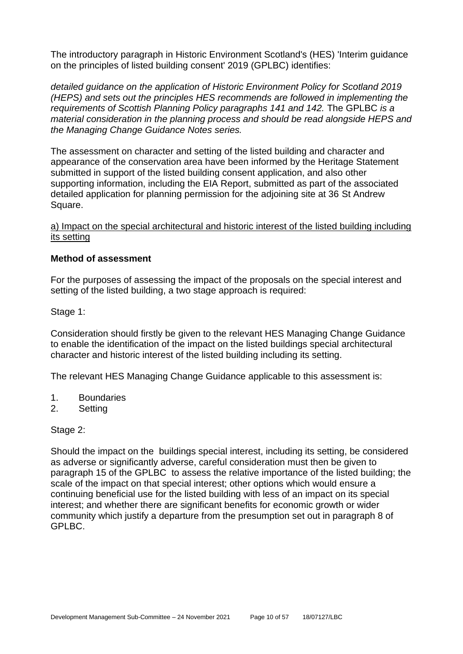The introductory paragraph in Historic Environment Scotland's (HES) 'Interim guidance on the principles of listed building consent' 2019 (GPLBC) identifies:

*detailed guidance on the application of Historic Environment Policy for Scotland 2019 (HEPS) and sets out the principles HES recommends are followed in implementing the requirements of Scottish Planning Policy paragraphs 141 and 142.* The GPLBC *is a material consideration in the planning process and should be read alongside HEPS and the Managing Change Guidance Notes series.*

The assessment on character and setting of the listed building and character and appearance of the conservation area have been informed by the Heritage Statement submitted in support of the listed building consent application, and also other supporting information, including the EIA Report, submitted as part of the associated detailed application for planning permission for the adjoining site at 36 St Andrew Square.

#### a) Impact on the special architectural and historic interest of the listed building including its setting

#### **Method of assessment**

For the purposes of assessing the impact of the proposals on the special interest and setting of the listed building, a two stage approach is required:

Stage 1:

Consideration should firstly be given to the relevant HES Managing Change Guidance to enable the identification of the impact on the listed buildings special architectural character and historic interest of the listed building including its setting.

The relevant HES Managing Change Guidance applicable to this assessment is:

- 1. Boundaries
- 2. Setting

#### Stage 2:

Should the impact on the buildings special interest, including its setting, be considered as adverse or significantly adverse, careful consideration must then be given to paragraph 15 of the GPLBC to assess the relative importance of the listed building; the scale of the impact on that special interest; other options which would ensure a continuing beneficial use for the listed building with less of an impact on its special interest; and whether there are significant benefits for economic growth or wider community which justify a departure from the presumption set out in paragraph 8 of GPLBC.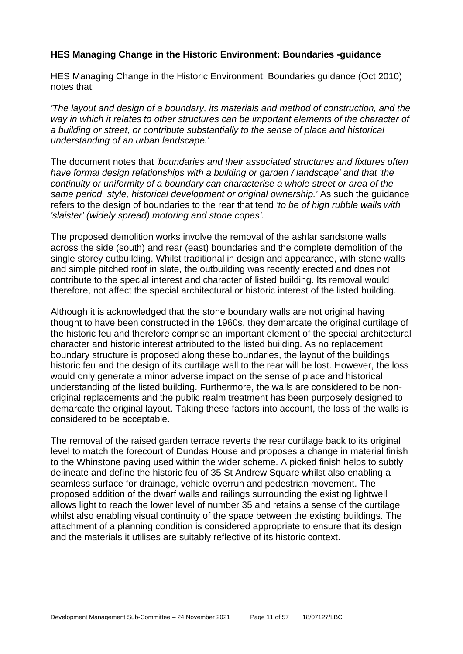# **HES Managing Change in the Historic Environment: Boundaries -guidance**

HES Managing Change in the Historic Environment: Boundaries guidance (Oct 2010) notes that:

*'The layout and design of a boundary, its materials and method of construction, and the way in which it relates to other structures can be important elements of the character of a building or street, or contribute substantially to the sense of place and historical understanding of an urban landscape.'*

The document notes that *'boundaries and their associated structures and fixtures often have formal design relationships with a building or garden / landscape' and that 'the continuity or uniformity of a boundary can characterise a whole street or area of the same period, style, historical development or original ownership.'* As such the guidance refers to the design of boundaries to the rear that tend *'to be of high rubble walls with 'slaister' (widely spread) motoring and stone copes'.*

The proposed demolition works involve the removal of the ashlar sandstone walls across the side (south) and rear (east) boundaries and the complete demolition of the single storey outbuilding. Whilst traditional in design and appearance, with stone walls and simple pitched roof in slate, the outbuilding was recently erected and does not contribute to the special interest and character of listed building. Its removal would therefore, not affect the special architectural or historic interest of the listed building.

Although it is acknowledged that the stone boundary walls are not original having thought to have been constructed in the 1960s, they demarcate the original curtilage of the historic feu and therefore comprise an important element of the special architectural character and historic interest attributed to the listed building. As no replacement boundary structure is proposed along these boundaries, the layout of the buildings historic feu and the design of its curtilage wall to the rear will be lost. However, the loss would only generate a minor adverse impact on the sense of place and historical understanding of the listed building. Furthermore, the walls are considered to be nonoriginal replacements and the public realm treatment has been purposely designed to demarcate the original layout. Taking these factors into account, the loss of the walls is considered to be acceptable.

The removal of the raised garden terrace reverts the rear curtilage back to its original level to match the forecourt of Dundas House and proposes a change in material finish to the Whinstone paving used within the wider scheme. A picked finish helps to subtly delineate and define the historic feu of 35 St Andrew Square whilst also enabling a seamless surface for drainage, vehicle overrun and pedestrian movement. The proposed addition of the dwarf walls and railings surrounding the existing lightwell allows light to reach the lower level of number 35 and retains a sense of the curtilage whilst also enabling visual continuity of the space between the existing buildings. The attachment of a planning condition is considered appropriate to ensure that its design and the materials it utilises are suitably reflective of its historic context.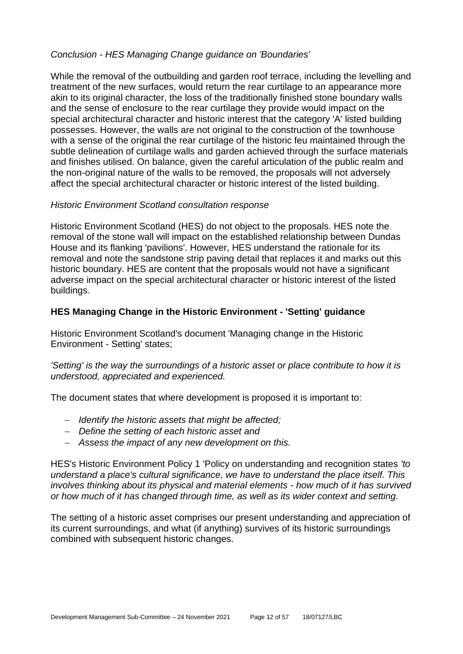# *Conclusion - HES Managing Change guidance on 'Boundaries'*

While the removal of the outbuilding and garden roof terrace, including the levelling and treatment of the new surfaces, would return the rear curtilage to an appearance more akin to its original character, the loss of the traditionally finished stone boundary walls and the sense of enclosure to the rear curtilage they provide would impact on the special architectural character and historic interest that the category 'A' listed building possesses. However, the walls are not original to the construction of the townhouse with a sense of the original the rear curtilage of the historic feu maintained through the subtle delineation of curtilage walls and garden achieved through the surface materials and finishes utilised. On balance, given the careful articulation of the public realm and the non-original nature of the walls to be removed, the proposals will not adversely affect the special architectural character or historic interest of the listed building.

# *Historic Environment Scotland consultation response*

Historic Environment Scotland (HES) do not object to the proposals. HES note the removal of the stone wall will impact on the established relationship between Dundas House and its flanking 'pavilions'. However, HES understand the rationale for its removal and note the sandstone strip paving detail that replaces it and marks out this historic boundary. HES are content that the proposals would not have a significant adverse impact on the special architectural character or historic interest of the listed buildings.

# **HES Managing Change in the Historic Environment - 'Setting' guidance**

Historic Environment Scotland's document 'Managing change in the Historic Environment - Setting' states;

# *'Setting' is the way the surroundings of a historic asset or place contribute to how it is understood, appreciated and experienced.*

The document states that where development is proposed it is important to:

- − *Identify the historic assets that might be affected;*
- − *Define the setting of each historic asset and*
- − *Assess the impact of any new development on this.*

HES's Historic Environment Policy 1 'Policy on understanding and recognition states *'to understand a place's cultural significance, we have to understand the place itself. This involves thinking about its physical and material elements - how much of it has survived or how much of it has changed through time, as well as its wider context and setting.*

The setting of a historic asset comprises our present understanding and appreciation of its current surroundings, and what (if anything) survives of its historic surroundings combined with subsequent historic changes.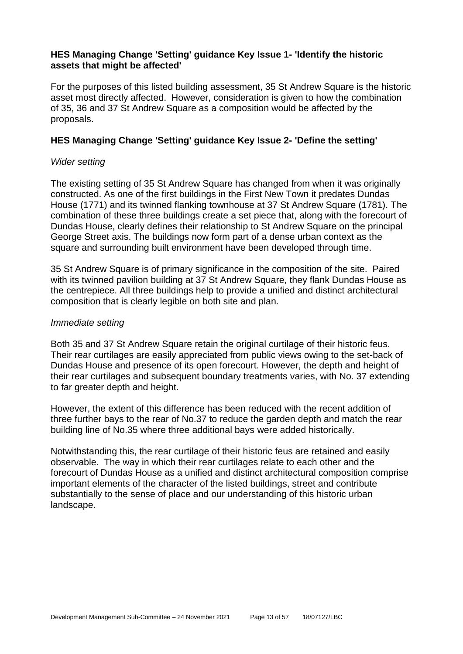# **HES Managing Change 'Setting' guidance Key Issue 1- 'Identify the historic assets that might be affected'**

For the purposes of this listed building assessment, 35 St Andrew Square is the historic asset most directly affected. However, consideration is given to how the combination of 35, 36 and 37 St Andrew Square as a composition would be affected by the proposals.

# **HES Managing Change 'Setting' guidance Key Issue 2- 'Define the setting'**

#### *Wider setting*

The existing setting of 35 St Andrew Square has changed from when it was originally constructed. As one of the first buildings in the First New Town it predates Dundas House (1771) and its twinned flanking townhouse at 37 St Andrew Square (1781). The combination of these three buildings create a set piece that, along with the forecourt of Dundas House, clearly defines their relationship to St Andrew Square on the principal George Street axis. The buildings now form part of a dense urban context as the square and surrounding built environment have been developed through time.

35 St Andrew Square is of primary significance in the composition of the site. Paired with its twinned pavilion building at 37 St Andrew Square, they flank Dundas House as the centrepiece. All three buildings help to provide a unified and distinct architectural composition that is clearly legible on both site and plan.

#### *Immediate setting*

Both 35 and 37 St Andrew Square retain the original curtilage of their historic feus. Their rear curtilages are easily appreciated from public views owing to the set-back of Dundas House and presence of its open forecourt. However, the depth and height of their rear curtilages and subsequent boundary treatments varies, with No. 37 extending to far greater depth and height.

However, the extent of this difference has been reduced with the recent addition of three further bays to the rear of No.37 to reduce the garden depth and match the rear building line of No.35 where three additional bays were added historically.

Notwithstanding this, the rear curtilage of their historic feus are retained and easily observable. The way in which their rear curtilages relate to each other and the forecourt of Dundas House as a unified and distinct architectural composition comprise important elements of the character of the listed buildings, street and contribute substantially to the sense of place and our understanding of this historic urban landscape.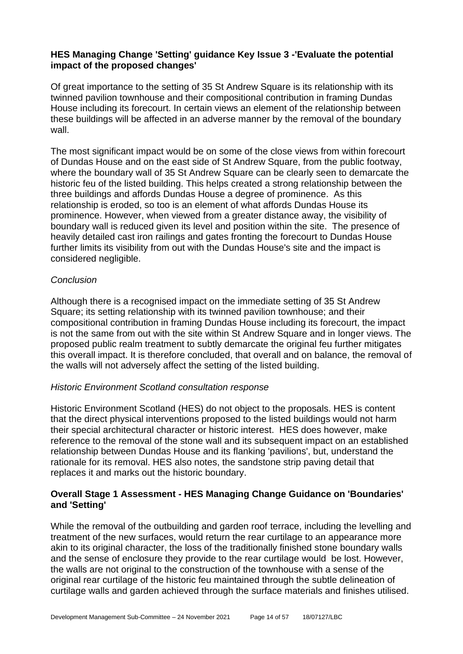# **HES Managing Change 'Setting' guidance Key Issue 3 -'Evaluate the potential impact of the proposed changes'**

Of great importance to the setting of 35 St Andrew Square is its relationship with its twinned pavilion townhouse and their compositional contribution in framing Dundas House including its forecourt. In certain views an element of the relationship between these buildings will be affected in an adverse manner by the removal of the boundary wall.

The most significant impact would be on some of the close views from within forecourt of Dundas House and on the east side of St Andrew Square, from the public footway, where the boundary wall of 35 St Andrew Square can be clearly seen to demarcate the historic feu of the listed building. This helps created a strong relationship between the three buildings and affords Dundas House a degree of prominence. As this relationship is eroded, so too is an element of what affords Dundas House its prominence. However, when viewed from a greater distance away, the visibility of boundary wall is reduced given its level and position within the site. The presence of heavily detailed cast iron railings and gates fronting the forecourt to Dundas House further limits its visibility from out with the Dundas House's site and the impact is considered negligible.

# *Conclusion*

Although there is a recognised impact on the immediate setting of 35 St Andrew Square; its setting relationship with its twinned pavilion townhouse; and their compositional contribution in framing Dundas House including its forecourt, the impact is not the same from out with the site within St Andrew Square and in longer views. The proposed public realm treatment to subtly demarcate the original feu further mitigates this overall impact. It is therefore concluded, that overall and on balance, the removal of the walls will not adversely affect the setting of the listed building.

# *Historic Environment Scotland consultation response*

Historic Environment Scotland (HES) do not object to the proposals. HES is content that the direct physical interventions proposed to the listed buildings would not harm their special architectural character or historic interest. HES does however, make reference to the removal of the stone wall and its subsequent impact on an established relationship between Dundas House and its flanking 'pavilions', but, understand the rationale for its removal. HES also notes, the sandstone strip paving detail that replaces it and marks out the historic boundary.

# **Overall Stage 1 Assessment - HES Managing Change Guidance on 'Boundaries' and 'Setting'**

While the removal of the outbuilding and garden roof terrace, including the levelling and treatment of the new surfaces, would return the rear curtilage to an appearance more akin to its original character, the loss of the traditionally finished stone boundary walls and the sense of enclosure they provide to the rear curtilage would be lost. However, the walls are not original to the construction of the townhouse with a sense of the original rear curtilage of the historic feu maintained through the subtle delineation of curtilage walls and garden achieved through the surface materials and finishes utilised.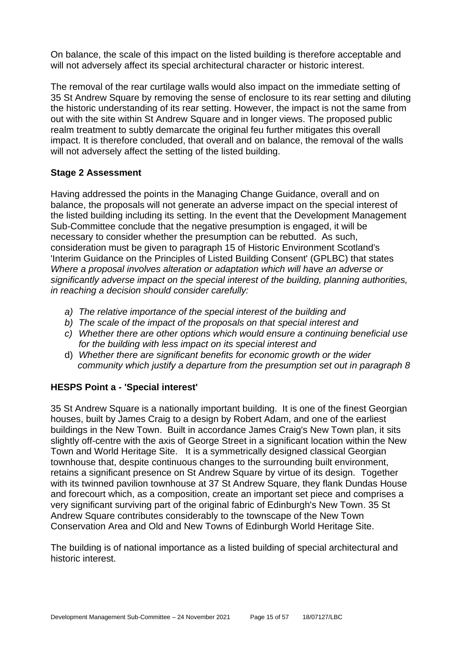On balance, the scale of this impact on the listed building is therefore acceptable and will not adversely affect its special architectural character or historic interest.

The removal of the rear curtilage walls would also impact on the immediate setting of 35 St Andrew Square by removing the sense of enclosure to its rear setting and diluting the historic understanding of its rear setting. However, the impact is not the same from out with the site within St Andrew Square and in longer views. The proposed public realm treatment to subtly demarcate the original feu further mitigates this overall impact. It is therefore concluded, that overall and on balance, the removal of the walls will not adversely affect the setting of the listed building.

# **Stage 2 Assessment**

Having addressed the points in the Managing Change Guidance, overall and on balance, the proposals will not generate an adverse impact on the special interest of the listed building including its setting. In the event that the Development Management Sub-Committee conclude that the negative presumption is engaged, it will be necessary to consider whether the presumption can be rebutted. As such, consideration must be given to paragraph 15 of Historic Environment Scotland's 'Interim Guidance on the Principles of Listed Building Consent' (GPLBC) that states *Where a proposal involves alteration or adaptation which will have an adverse or significantly adverse impact on the special interest of the building, planning authorities, in reaching a decision should consider carefully:*

- *a) The relative importance of the special interest of the building and*
- *b) The scale of the impact of the proposals on that special interest and*
- *c) Whether there are other options which would ensure a continuing beneficial use for the building with less impact on its special interest and*
- d) *Whether there are significant benefits for economic growth or the wider community which justify a departure from the presumption set out in paragraph 8*

# **HESPS Point a - 'Special interest'**

35 St Andrew Square is a nationally important building. It is one of the finest Georgian houses, built by James Craig to a design by Robert Adam, and one of the earliest buildings in the New Town. Built in accordance James Craig's New Town plan, it sits slightly off-centre with the axis of George Street in a significant location within the New Town and World Heritage Site. It is a symmetrically designed classical Georgian townhouse that, despite continuous changes to the surrounding built environment, retains a significant presence on St Andrew Square by virtue of its design. Together with its twinned pavilion townhouse at 37 St Andrew Square, they flank Dundas House and forecourt which, as a composition, create an important set piece and comprises a very significant surviving part of the original fabric of Edinburgh's New Town. 35 St Andrew Square contributes considerably to the townscape of the New Town Conservation Area and Old and New Towns of Edinburgh World Heritage Site.

The building is of national importance as a listed building of special architectural and historic interest.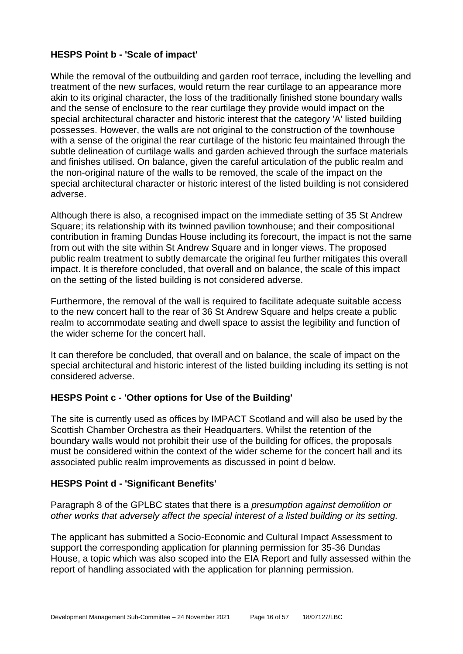# **HESPS Point b - 'Scale of impact'**

While the removal of the outbuilding and garden roof terrace, including the levelling and treatment of the new surfaces, would return the rear curtilage to an appearance more akin to its original character, the loss of the traditionally finished stone boundary walls and the sense of enclosure to the rear curtilage they provide would impact on the special architectural character and historic interest that the category 'A' listed building possesses. However, the walls are not original to the construction of the townhouse with a sense of the original the rear curtilage of the historic feu maintained through the subtle delineation of curtilage walls and garden achieved through the surface materials and finishes utilised. On balance, given the careful articulation of the public realm and the non-original nature of the walls to be removed, the scale of the impact on the special architectural character or historic interest of the listed building is not considered adverse.

Although there is also, a recognised impact on the immediate setting of 35 St Andrew Square; its relationship with its twinned pavilion townhouse; and their compositional contribution in framing Dundas House including its forecourt, the impact is not the same from out with the site within St Andrew Square and in longer views. The proposed public realm treatment to subtly demarcate the original feu further mitigates this overall impact. It is therefore concluded, that overall and on balance, the scale of this impact on the setting of the listed building is not considered adverse.

Furthermore, the removal of the wall is required to facilitate adequate suitable access to the new concert hall to the rear of 36 St Andrew Square and helps create a public realm to accommodate seating and dwell space to assist the legibility and function of the wider scheme for the concert hall.

It can therefore be concluded, that overall and on balance, the scale of impact on the special architectural and historic interest of the listed building including its setting is not considered adverse.

# **HESPS Point c - 'Other options for Use of the Building'**

The site is currently used as offices by IMPACT Scotland and will also be used by the Scottish Chamber Orchestra as their Headquarters. Whilst the retention of the boundary walls would not prohibit their use of the building for offices, the proposals must be considered within the context of the wider scheme for the concert hall and its associated public realm improvements as discussed in point d below.

# **HESPS Point d - 'Significant Benefits'**

Paragraph 8 of the GPLBC states that there is a *presumption against demolition or other works that adversely affect the special interest of a listed building or its setting.*

The applicant has submitted a Socio-Economic and Cultural Impact Assessment to support the corresponding application for planning permission for 35-36 Dundas House, a topic which was also scoped into the EIA Report and fully assessed within the report of handling associated with the application for planning permission.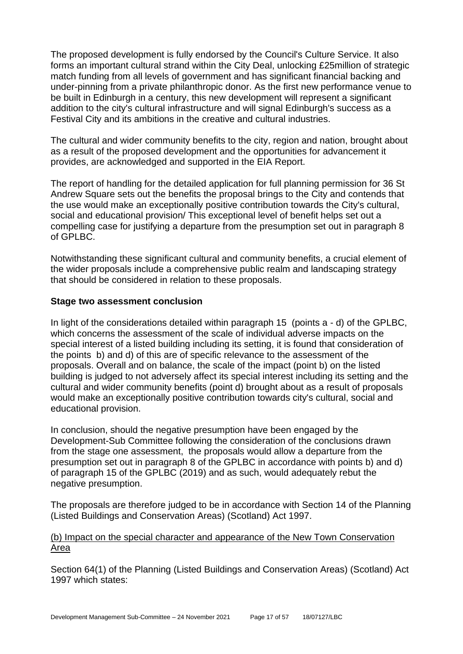The proposed development is fully endorsed by the Council's Culture Service. It also forms an important cultural strand within the City Deal, unlocking £25million of strategic match funding from all levels of government and has significant financial backing and under-pinning from a private philanthropic donor. As the first new performance venue to be built in Edinburgh in a century, this new development will represent a significant addition to the city's cultural infrastructure and will signal Edinburgh's success as a Festival City and its ambitions in the creative and cultural industries.

The cultural and wider community benefits to the city, region and nation, brought about as a result of the proposed development and the opportunities for advancement it provides, are acknowledged and supported in the EIA Report.

The report of handling for the detailed application for full planning permission for 36 St Andrew Square sets out the benefits the proposal brings to the City and contends that the use would make an exceptionally positive contribution towards the City's cultural, social and educational provision/ This exceptional level of benefit helps set out a compelling case for justifying a departure from the presumption set out in paragraph 8 of GPLBC.

Notwithstanding these significant cultural and community benefits, a crucial element of the wider proposals include a comprehensive public realm and landscaping strategy that should be considered in relation to these proposals.

#### **Stage two assessment conclusion**

In light of the considerations detailed within paragraph 15 (points a - d) of the GPLBC, which concerns the assessment of the scale of individual adverse impacts on the special interest of a listed building including its setting, it is found that consideration of the points b) and d) of this are of specific relevance to the assessment of the proposals. Overall and on balance, the scale of the impact (point b) on the listed building is judged to not adversely affect its special interest including its setting and the cultural and wider community benefits (point d) brought about as a result of proposals would make an exceptionally positive contribution towards city's cultural, social and educational provision.

In conclusion, should the negative presumption have been engaged by the Development-Sub Committee following the consideration of the conclusions drawn from the stage one assessment, the proposals would allow a departure from the presumption set out in paragraph 8 of the GPLBC in accordance with points b) and d) of paragraph 15 of the GPLBC (2019) and as such, would adequately rebut the negative presumption.

The proposals are therefore judged to be in accordance with Section 14 of the Planning (Listed Buildings and Conservation Areas) (Scotland) Act 1997.

#### (b) Impact on the special character and appearance of the New Town Conservation Area

Section 64(1) of the Planning (Listed Buildings and Conservation Areas) (Scotland) Act 1997 which states: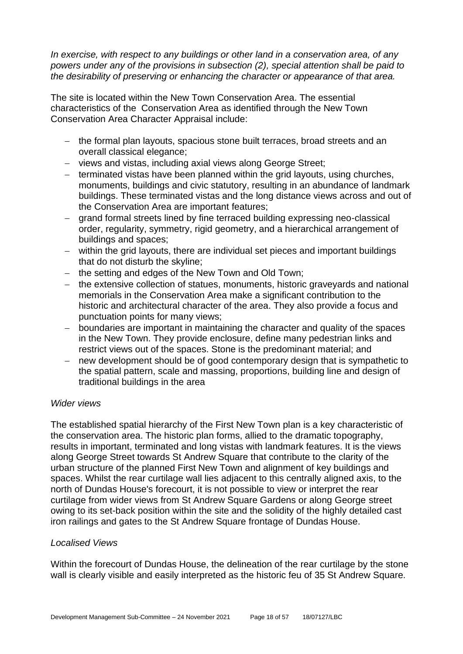*In exercise, with respect to any buildings or other land in a conservation area, of any powers under any of the provisions in subsection (2), special attention shall be paid to the desirability of preserving or enhancing the character or appearance of that area.*

The site is located within the New Town Conservation Area. The essential characteristics of the Conservation Area as identified through the New Town Conservation Area Character Appraisal include:

- − the formal plan layouts, spacious stone built terraces, broad streets and an overall classical elegance;
- − views and vistas, including axial views along George Street;
- − terminated vistas have been planned within the grid layouts, using churches, monuments, buildings and civic statutory, resulting in an abundance of landmark buildings. These terminated vistas and the long distance views across and out of the Conservation Area are important features;
- − grand formal streets lined by fine terraced building expressing neo-classical order, regularity, symmetry, rigid geometry, and a hierarchical arrangement of buildings and spaces;
- − within the grid layouts, there are individual set pieces and important buildings that do not disturb the skyline;
- − the setting and edges of the New Town and Old Town;
- − the extensive collection of statues, monuments, historic graveyards and national memorials in the Conservation Area make a significant contribution to the historic and architectural character of the area. They also provide a focus and punctuation points for many views;
- − boundaries are important in maintaining the character and quality of the spaces in the New Town. They provide enclosure, define many pedestrian links and restrict views out of the spaces. Stone is the predominant material; and
- − new development should be of good contemporary design that is sympathetic to the spatial pattern, scale and massing, proportions, building line and design of traditional buildings in the area

#### *Wider views*

The established spatial hierarchy of the First New Town plan is a key characteristic of the conservation area. The historic plan forms, allied to the dramatic topography, results in important, terminated and long vistas with landmark features. It is the views along George Street towards St Andrew Square that contribute to the clarity of the urban structure of the planned First New Town and alignment of key buildings and spaces. Whilst the rear curtilage wall lies adjacent to this centrally aligned axis, to the north of Dundas House's forecourt, it is not possible to view or interpret the rear curtilage from wider views from St Andrew Square Gardens or along George street owing to its set-back position within the site and the solidity of the highly detailed cast iron railings and gates to the St Andrew Square frontage of Dundas House.

# *Localised Views*

Within the forecourt of Dundas House, the delineation of the rear curtilage by the stone wall is clearly visible and easily interpreted as the historic feu of 35 St Andrew Square.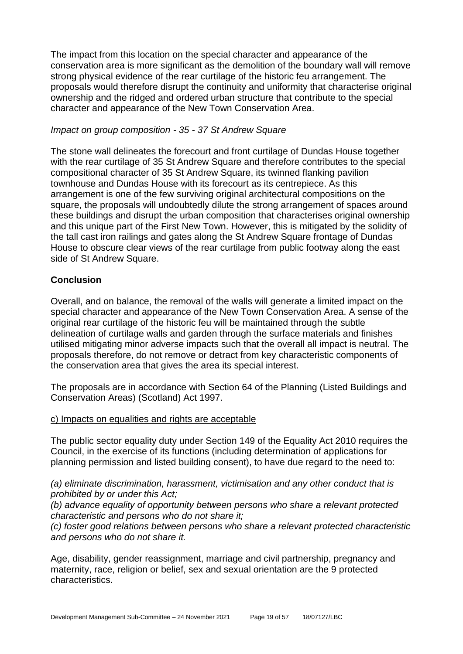The impact from this location on the special character and appearance of the conservation area is more significant as the demolition of the boundary wall will remove strong physical evidence of the rear curtilage of the historic feu arrangement. The proposals would therefore disrupt the continuity and uniformity that characterise original ownership and the ridged and ordered urban structure that contribute to the special character and appearance of the New Town Conservation Area.

# *Impact on group composition - 35 - 37 St Andrew Square*

The stone wall delineates the forecourt and front curtilage of Dundas House together with the rear curtilage of 35 St Andrew Square and therefore contributes to the special compositional character of 35 St Andrew Square, its twinned flanking pavilion townhouse and Dundas House with its forecourt as its centrepiece. As this arrangement is one of the few surviving original architectural compositions on the square, the proposals will undoubtedly dilute the strong arrangement of spaces around these buildings and disrupt the urban composition that characterises original ownership and this unique part of the First New Town. However, this is mitigated by the solidity of the tall cast iron railings and gates along the St Andrew Square frontage of Dundas House to obscure clear views of the rear curtilage from public footway along the east side of St Andrew Square.

# **Conclusion**

Overall, and on balance, the removal of the walls will generate a limited impact on the special character and appearance of the New Town Conservation Area. A sense of the original rear curtilage of the historic feu will be maintained through the subtle delineation of curtilage walls and garden through the surface materials and finishes utilised mitigating minor adverse impacts such that the overall all impact is neutral. The proposals therefore, do not remove or detract from key characteristic components of the conservation area that gives the area its special interest.

The proposals are in accordance with Section 64 of the Planning (Listed Buildings and Conservation Areas) (Scotland) Act 1997.

#### c) Impacts on equalities and rights are acceptable

The public sector equality duty under Section 149 of the Equality Act 2010 requires the Council, in the exercise of its functions (including determination of applications for planning permission and listed building consent), to have due regard to the need to:

*(a) eliminate discrimination, harassment, victimisation and any other conduct that is prohibited by or under this Act;* 

*(b) advance equality of opportunity between persons who share a relevant protected characteristic and persons who do not share it;* 

*(c) foster good relations between persons who share a relevant protected characteristic and persons who do not share it.*

Age, disability, gender reassignment, marriage and civil partnership, pregnancy and maternity, race, religion or belief, sex and sexual orientation are the 9 protected characteristics.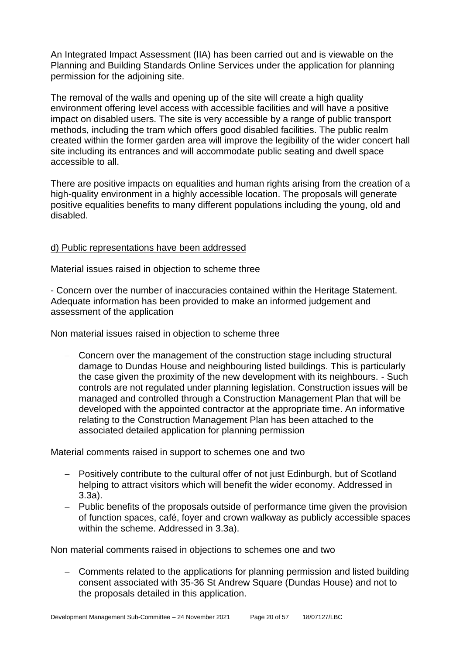An Integrated Impact Assessment (IIA) has been carried out and is viewable on the Planning and Building Standards Online Services under the application for planning permission for the adjoining site.

The removal of the walls and opening up of the site will create a high quality environment offering level access with accessible facilities and will have a positive impact on disabled users. The site is very accessible by a range of public transport methods, including the tram which offers good disabled facilities. The public realm created within the former garden area will improve the legibility of the wider concert hall site including its entrances and will accommodate public seating and dwell space accessible to all.

There are positive impacts on equalities and human rights arising from the creation of a high-quality environment in a highly accessible location. The proposals will generate positive equalities benefits to many different populations including the young, old and disabled.

# d) Public representations have been addressed

Material issues raised in objection to scheme three

- Concern over the number of inaccuracies contained within the Heritage Statement. Adequate information has been provided to make an informed judgement and assessment of the application

Non material issues raised in objection to scheme three

− Concern over the management of the construction stage including structural damage to Dundas House and neighbouring listed buildings. This is particularly the case given the proximity of the new development with its neighbours. - Such controls are not regulated under planning legislation. Construction issues will be managed and controlled through a Construction Management Plan that will be developed with the appointed contractor at the appropriate time. An informative relating to the Construction Management Plan has been attached to the associated detailed application for planning permission

Material comments raised in support to schemes one and two

- − Positively contribute to the cultural offer of not just Edinburgh, but of Scotland helping to attract visitors which will benefit the wider economy. Addressed in 3.3a).
- − Public benefits of the proposals outside of performance time given the provision of function spaces, café, foyer and crown walkway as publicly accessible spaces within the scheme. Addressed in 3.3a).

Non material comments raised in objections to schemes one and two

− Comments related to the applications for planning permission and listed building consent associated with 35-36 St Andrew Square (Dundas House) and not to the proposals detailed in this application.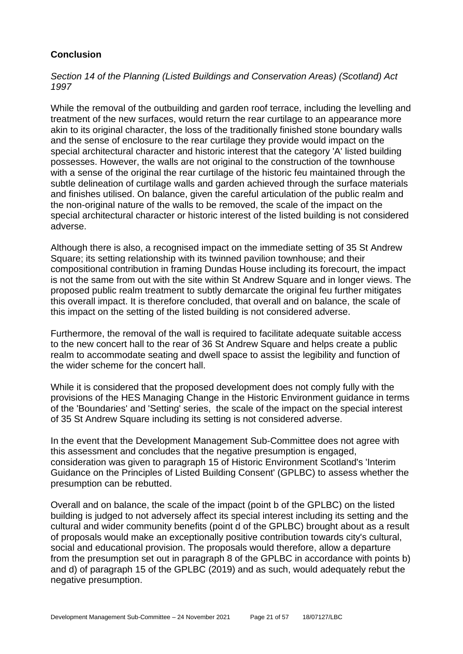# **Conclusion**

*Section 14 of the Planning (Listed Buildings and Conservation Areas) (Scotland) Act 1997*

While the removal of the outbuilding and garden roof terrace, including the levelling and treatment of the new surfaces, would return the rear curtilage to an appearance more akin to its original character, the loss of the traditionally finished stone boundary walls and the sense of enclosure to the rear curtilage they provide would impact on the special architectural character and historic interest that the category 'A' listed building possesses. However, the walls are not original to the construction of the townhouse with a sense of the original the rear curtilage of the historic feu maintained through the subtle delineation of curtilage walls and garden achieved through the surface materials and finishes utilised. On balance, given the careful articulation of the public realm and the non-original nature of the walls to be removed, the scale of the impact on the special architectural character or historic interest of the listed building is not considered adverse.

Although there is also, a recognised impact on the immediate setting of 35 St Andrew Square; its setting relationship with its twinned pavilion townhouse; and their compositional contribution in framing Dundas House including its forecourt, the impact is not the same from out with the site within St Andrew Square and in longer views. The proposed public realm treatment to subtly demarcate the original feu further mitigates this overall impact. It is therefore concluded, that overall and on balance, the scale of this impact on the setting of the listed building is not considered adverse.

Furthermore, the removal of the wall is required to facilitate adequate suitable access to the new concert hall to the rear of 36 St Andrew Square and helps create a public realm to accommodate seating and dwell space to assist the legibility and function of the wider scheme for the concert hall.

While it is considered that the proposed development does not comply fully with the provisions of the HES Managing Change in the Historic Environment guidance in terms of the 'Boundaries' and 'Setting' series, the scale of the impact on the special interest of 35 St Andrew Square including its setting is not considered adverse.

In the event that the Development Management Sub-Committee does not agree with this assessment and concludes that the negative presumption is engaged, consideration was given to paragraph 15 of Historic Environment Scotland's 'Interim Guidance on the Principles of Listed Building Consent' (GPLBC) to assess whether the presumption can be rebutted.

Overall and on balance, the scale of the impact (point b of the GPLBC) on the listed building is judged to not adversely affect its special interest including its setting and the cultural and wider community benefits (point d of the GPLBC) brought about as a result of proposals would make an exceptionally positive contribution towards city's cultural, social and educational provision. The proposals would therefore, allow a departure from the presumption set out in paragraph 8 of the GPLBC in accordance with points b) and d) of paragraph 15 of the GPLBC (2019) and as such, would adequately rebut the negative presumption.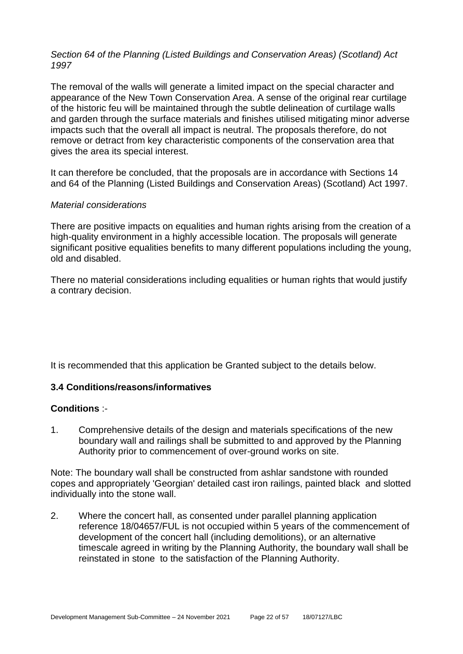# *Section 64 of the Planning (Listed Buildings and Conservation Areas) (Scotland) Act 1997*

The removal of the walls will generate a limited impact on the special character and appearance of the New Town Conservation Area. A sense of the original rear curtilage of the historic feu will be maintained through the subtle delineation of curtilage walls and garden through the surface materials and finishes utilised mitigating minor adverse impacts such that the overall all impact is neutral. The proposals therefore, do not remove or detract from key characteristic components of the conservation area that gives the area its special interest.

It can therefore be concluded, that the proposals are in accordance with Sections 14 and 64 of the Planning (Listed Buildings and Conservation Areas) (Scotland) Act 1997.

#### *Material considerations*

There are positive impacts on equalities and human rights arising from the creation of a high-quality environment in a highly accessible location. The proposals will generate significant positive equalities benefits to many different populations including the young, old and disabled.

There no material considerations including equalities or human rights that would justify a contrary decision.

It is recommended that this application be Granted subject to the details below.

# **3.4 Conditions/reasons/informatives**

#### **Conditions** :-

1. Comprehensive details of the design and materials specifications of the new boundary wall and railings shall be submitted to and approved by the Planning Authority prior to commencement of over-ground works on site.

Note: The boundary wall shall be constructed from ashlar sandstone with rounded copes and appropriately 'Georgian' detailed cast iron railings, painted black and slotted individually into the stone wall.

2. Where the concert hall, as consented under parallel planning application reference 18/04657/FUL is not occupied within 5 years of the commencement of development of the concert hall (including demolitions), or an alternative timescale agreed in writing by the Planning Authority, the boundary wall shall be reinstated in stone to the satisfaction of the Planning Authority.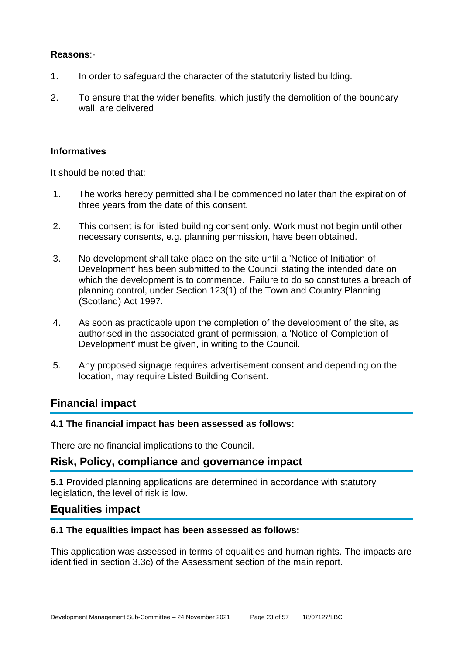# **Reasons**:-

- 1. In order to safeguard the character of the statutorily listed building.
- 2. To ensure that the wider benefits, which justify the demolition of the boundary wall, are delivered

# **Informatives**

It should be noted that:

- 1. The works hereby permitted shall be commenced no later than the expiration of three years from the date of this consent.
- 2. This consent is for listed building consent only. Work must not begin until other necessary consents, e.g. planning permission, have been obtained.
- 3. No development shall take place on the site until a 'Notice of Initiation of Development' has been submitted to the Council stating the intended date on which the development is to commence. Failure to do so constitutes a breach of planning control, under Section 123(1) of the Town and Country Planning (Scotland) Act 1997.
- 4. As soon as practicable upon the completion of the development of the site, as authorised in the associated grant of permission, a 'Notice of Completion of Development' must be given, in writing to the Council.
- 5. Any proposed signage requires advertisement consent and depending on the location, may require Listed Building Consent.

# **Financial impact**

# **4.1 The financial impact has been assessed as follows:**

There are no financial implications to the Council.

# **Risk, Policy, compliance and governance impact**

**5.1** Provided planning applications are determined in accordance with statutory legislation, the level of risk is low.

# **Equalities impact**

# **6.1 The equalities impact has been assessed as follows:**

This application was assessed in terms of equalities and human rights. The impacts are identified in section 3.3c) of the Assessment section of the main report.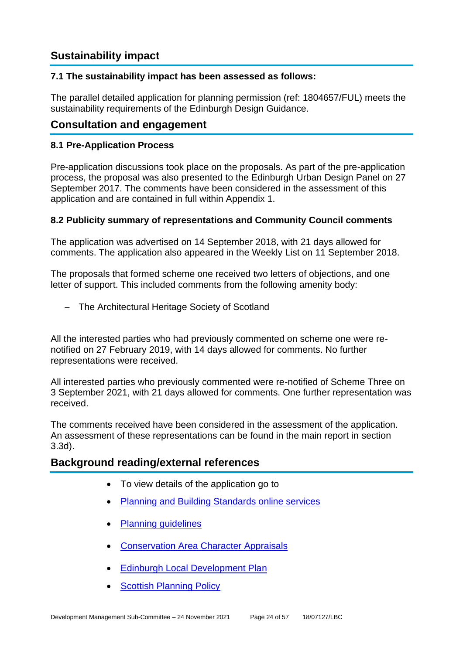# **Sustainability impact**

# **7.1 The sustainability impact has been assessed as follows:**

The parallel detailed application for planning permission (ref: 1804657/FUL) meets the sustainability requirements of the Edinburgh Design Guidance.

# **Consultation and engagement**

# **8.1 Pre-Application Process**

Pre-application discussions took place on the proposals. As part of the pre-application process, the proposal was also presented to the Edinburgh Urban Design Panel on 27 September 2017. The comments have been considered in the assessment of this application and are contained in full within Appendix 1.

#### **8.2 Publicity summary of representations and Community Council comments**

The application was advertised on 14 September 2018, with 21 days allowed for comments. The application also appeared in the Weekly List on 11 September 2018.

The proposals that formed scheme one received two letters of objections, and one letter of support. This included comments from the following amenity body:

− The Architectural Heritage Society of Scotland

All the interested parties who had previously commented on scheme one were renotified on 27 February 2019, with 14 days allowed for comments. No further representations were received.

All interested parties who previously commented were re-notified of Scheme Three on 3 September 2021, with 21 days allowed for comments. One further representation was received.

The comments received have been considered in the assessment of the application. An assessment of these representations can be found in the main report in section 3.3d).

# **Background reading/external references**

- To view details of the application go to
- [Planning and Building Standards online services](https://citydev-portal.edinburgh.gov.uk/idoxpa-web/search.do?action=simple&searchType=Application)
- [Planning guidelines](http://www.edinburgh.gov.uk/planningguidelines)
- [Conservation Area Character Appraisals](http://www.edinburgh.gov.uk/characterappraisals)
- [Edinburgh Local Development Plan](http://www.edinburgh.gov.uk/localdevelopmentplan)
- **[Scottish Planning Policy](http://www.scotland.gov.uk/Topics/Built-Environment/planning/Policy)**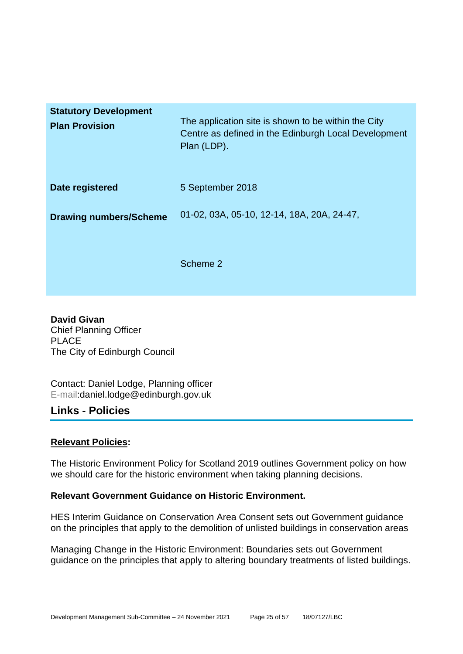| <b>Statutory Development</b><br><b>Plan Provision</b> | The application site is shown to be within the City<br>Centre as defined in the Edinburgh Local Development<br>Plan (LDP). |
|-------------------------------------------------------|----------------------------------------------------------------------------------------------------------------------------|
| Date registered                                       | 5 September 2018                                                                                                           |
| <b>Drawing numbers/Scheme</b>                         | 01-02, 03A, 05-10, 12-14, 18A, 20A, 24-47,                                                                                 |
|                                                       | Scheme 2                                                                                                                   |

**David Givan** Chief Planning Officer PLACE The City of Edinburgh Council

Contact: Daniel Lodge, Planning officer E-mail:daniel.lodge@edinburgh.gov.uk

# **Links - Policies**

# **Relevant Policies:**

The Historic Environment Policy for Scotland 2019 outlines Government policy on how we should care for the historic environment when taking planning decisions.

# **Relevant Government Guidance on Historic Environment.**

HES Interim Guidance on Conservation Area Consent sets out Government guidance on the principles that apply to the demolition of unlisted buildings in conservation areas

Managing Change in the Historic Environment: Boundaries sets out Government guidance on the principles that apply to altering boundary treatments of listed buildings.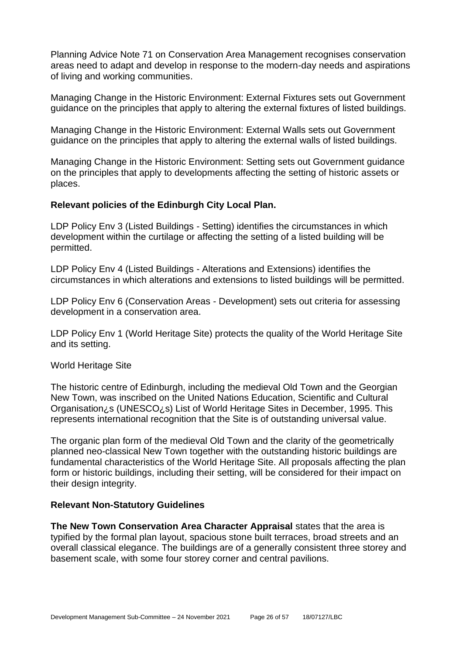Planning Advice Note 71 on Conservation Area Management recognises conservation areas need to adapt and develop in response to the modern-day needs and aspirations of living and working communities.

Managing Change in the Historic Environment: External Fixtures sets out Government guidance on the principles that apply to altering the external fixtures of listed buildings.

Managing Change in the Historic Environment: External Walls sets out Government guidance on the principles that apply to altering the external walls of listed buildings.

Managing Change in the Historic Environment: Setting sets out Government guidance on the principles that apply to developments affecting the setting of historic assets or places.

#### **Relevant policies of the Edinburgh City Local Plan.**

LDP Policy Env 3 (Listed Buildings - Setting) identifies the circumstances in which development within the curtilage or affecting the setting of a listed building will be permitted.

LDP Policy Env 4 (Listed Buildings - Alterations and Extensions) identifies the circumstances in which alterations and extensions to listed buildings will be permitted.

LDP Policy Env 6 (Conservation Areas - Development) sets out criteria for assessing development in a conservation area.

LDP Policy Env 1 (World Heritage Site) protects the quality of the World Heritage Site and its setting.

#### World Heritage Site

The historic centre of Edinburgh, including the medieval Old Town and the Georgian New Town, was inscribed on the United Nations Education, Scientific and Cultural Organisation¿s (UNESCO¿s) List of World Heritage Sites in December, 1995. This represents international recognition that the Site is of outstanding universal value.

The organic plan form of the medieval Old Town and the clarity of the geometrically planned neo-classical New Town together with the outstanding historic buildings are fundamental characteristics of the World Heritage Site. All proposals affecting the plan form or historic buildings, including their setting, will be considered for their impact on their design integrity.

#### **Relevant Non-Statutory Guidelines**

**The New Town Conservation Area Character Appraisal** states that the area is typified by the formal plan layout, spacious stone built terraces, broad streets and an overall classical elegance. The buildings are of a generally consistent three storey and basement scale, with some four storey corner and central pavilions.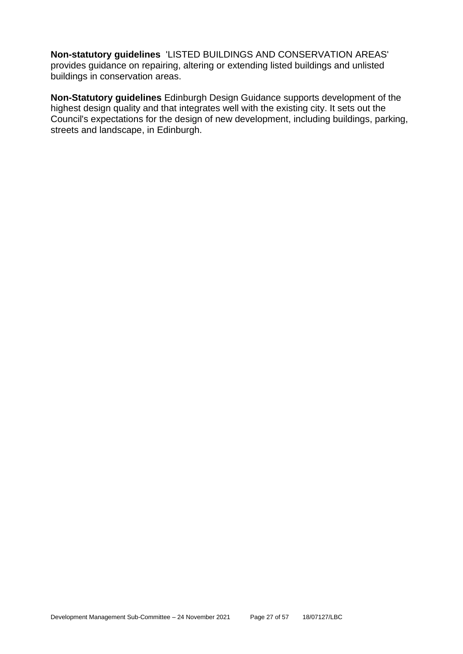**Non-statutory guidelines** 'LISTED BUILDINGS AND CONSERVATION AREAS' provides guidance on repairing, altering or extending listed buildings and unlisted buildings in conservation areas.

**Non-Statutory guidelines** Edinburgh Design Guidance supports development of the highest design quality and that integrates well with the existing city. It sets out the Council's expectations for the design of new development, including buildings, parking, streets and landscape, in Edinburgh.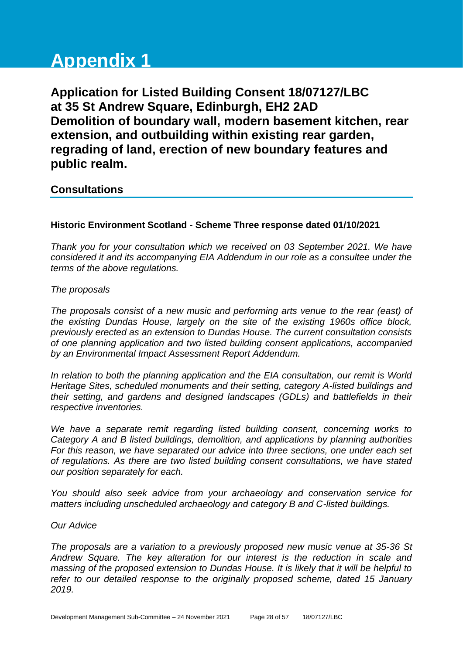# **Appendix 1**

**Application for Listed Building Consent 18/07127/LBC at 35 St Andrew Square, Edinburgh, EH2 2AD Demolition of boundary wall, modern basement kitchen, rear extension, and outbuilding within existing rear garden, regrading of land, erection of new boundary features and public realm.**

# **Consultations**

# **Historic Environment Scotland - Scheme Three response dated 01/10/2021**

*Thank you for your consultation which we received on 03 September 2021. We have considered it and its accompanying EIA Addendum in our role as a consultee under the terms of the above regulations.*

# *The proposals*

*The proposals consist of a new music and performing arts venue to the rear (east) of the existing Dundas House, largely on the site of the existing 1960s office block, previously erected as an extension to Dundas House. The current consultation consists of one planning application and two listed building consent applications, accompanied by an Environmental Impact Assessment Report Addendum.*

*In relation to both the planning application and the EIA consultation, our remit is World Heritage Sites, scheduled monuments and their setting, category A-listed buildings and their setting, and gardens and designed landscapes (GDLs) and battlefields in their respective inventories.*

*We have a separate remit regarding listed building consent, concerning works to Category A and B listed buildings, demolition, and applications by planning authorities For this reason, we have separated our advice into three sections, one under each set of regulations. As there are two listed building consent consultations, we have stated our position separately for each.*

*You should also seek advice from your archaeology and conservation service for matters including unscheduled archaeology and category B and C-listed buildings.*

# *Our Advice*

*The proposals are a variation to a previously proposed new music venue at 35-36 St Andrew Square. The key alteration for our interest is the reduction in scale and massing of the proposed extension to Dundas House. It is likely that it will be helpful to refer to our detailed response to the originally proposed scheme, dated 15 January 2019.*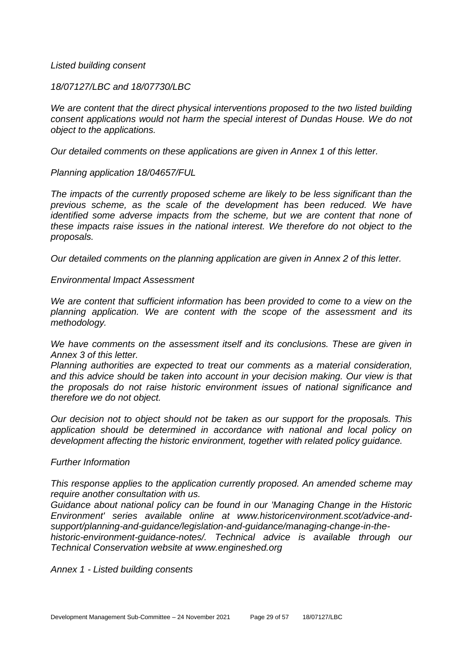#### *Listed building consent*

*18/07127/LBC and 18/07730/LBC*

*We are content that the direct physical interventions proposed to the two listed building consent applications would not harm the special interest of Dundas House. We do not object to the applications.*

*Our detailed comments on these applications are given in Annex 1 of this letter.*

*Planning application 18/04657/FUL*

*The impacts of the currently proposed scheme are likely to be less significant than the previous scheme, as the scale of the development has been reduced. We have identified some adverse impacts from the scheme, but we are content that none of these impacts raise issues in the national interest. We therefore do not object to the proposals.*

*Our detailed comments on the planning application are given in Annex 2 of this letter.*

*Environmental Impact Assessment*

*We are content that sufficient information has been provided to come to a view on the planning application. We are content with the scope of the assessment and its methodology.*

*We have comments on the assessment itself and its conclusions. These are given in Annex 3 of this letter.*

*Planning authorities are expected to treat our comments as a material consideration, and this advice should be taken into account in your decision making. Our view is that the proposals do not raise historic environment issues of national significance and therefore we do not object.*

*Our decision not to object should not be taken as our support for the proposals. This application should be determined in accordance with national and local policy on development affecting the historic environment, together with related policy guidance.*

#### *Further Information*

*This response applies to the application currently proposed. An amended scheme may require another consultation with us.*

*Guidance about national policy can be found in our 'Managing Change in the Historic Environment' series available online at www.historicenvironment.scot/advice-andsupport/planning-and-guidance/legislation-and-guidance/managing-change-in-the-*

*historic-environment-guidance-notes/. Technical advice is available through our Technical Conservation website at www.engineshed.org*

*Annex 1 - Listed building consents*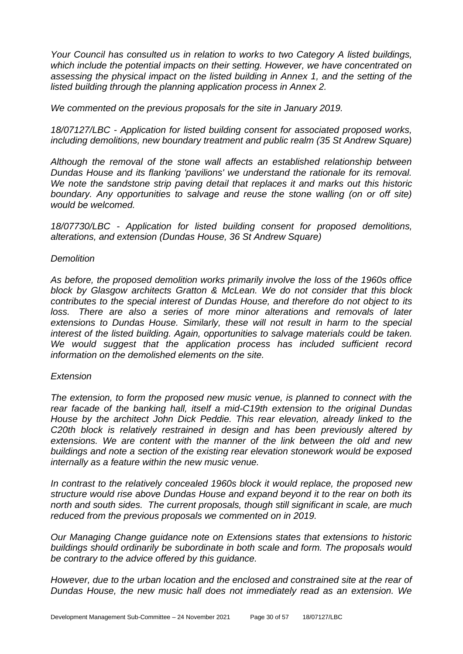*Your Council has consulted us in relation to works to two Category A listed buildings, which include the potential impacts on their setting. However, we have concentrated on assessing the physical impact on the listed building in Annex 1, and the setting of the listed building through the planning application process in Annex 2.*

*We commented on the previous proposals for the site in January 2019.*

*18/07127/LBC - Application for listed building consent for associated proposed works, including demolitions, new boundary treatment and public realm (35 St Andrew Square)*

*Although the removal of the stone wall affects an established relationship between Dundas House and its flanking 'pavilions' we understand the rationale for its removal. We note the sandstone strip paving detail that replaces it and marks out this historic boundary. Any opportunities to salvage and reuse the stone walling (on or off site) would be welcomed.*

*18/07730/LBC - Application for listed building consent for proposed demolitions, alterations, and extension (Dundas House, 36 St Andrew Square)*

#### *Demolition*

*As before, the proposed demolition works primarily involve the loss of the 1960s office block by Glasgow architects Gratton & McLean. We do not consider that this block contributes to the special interest of Dundas House, and therefore do not object to its*  loss. There are also a series of more minor alterations and removals of later *extensions to Dundas House. Similarly, these will not result in harm to the special interest of the listed building. Again, opportunities to salvage materials could be taken.*  We would suggest that the application process has included sufficient record *information on the demolished elements on the site.*

#### *Extension*

*The extension, to form the proposed new music venue, is planned to connect with the rear facade of the banking hall, itself a mid-C19th extension to the original Dundas House by the architect John Dick Peddie. This rear elevation, already linked to the C20th block is relatively restrained in design and has been previously altered by extensions. We are content with the manner of the link between the old and new buildings and note a section of the existing rear elevation stonework would be exposed internally as a feature within the new music venue.*

*In contrast to the relatively concealed 1960s block it would replace, the proposed new structure would rise above Dundas House and expand beyond it to the rear on both its north and south sides. The current proposals, though still significant in scale, are much reduced from the previous proposals we commented on in 2019.*

*Our Managing Change guidance note on Extensions states that extensions to historic buildings should ordinarily be subordinate in both scale and form. The proposals would be contrary to the advice offered by this guidance.*

*However, due to the urban location and the enclosed and constrained site at the rear of Dundas House, the new music hall does not immediately read as an extension. We*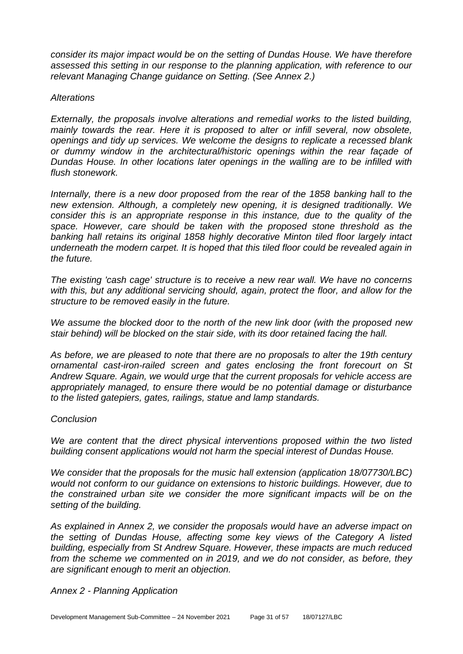*consider its major impact would be on the setting of Dundas House. We have therefore assessed this setting in our response to the planning application, with reference to our relevant Managing Change guidance on Setting. (See Annex 2.)*

#### *Alterations*

*Externally, the proposals involve alterations and remedial works to the listed building, mainly towards the rear. Here it is proposed to alter or infill several, now obsolete, openings and tidy up services. We welcome the designs to replicate a recessed blank or dummy window in the architectural/historic openings within the rear façade of Dundas House. In other locations later openings in the walling are to be infilled with flush stonework.*

*Internally, there is a new door proposed from the rear of the 1858 banking hall to the new extension. Although, a completely new opening, it is designed traditionally. We consider this is an appropriate response in this instance, due to the quality of the*  space. However, care should be taken with the proposed stone threshold as the *banking hall retains its original 1858 highly decorative Minton tiled floor largely intact underneath the modern carpet. It is hoped that this tiled floor could be revealed again in the future.*

*The existing 'cash cage' structure is to receive a new rear wall. We have no concerns with this, but any additional servicing should, again, protect the floor, and allow for the structure to be removed easily in the future.*

*We assume the blocked door to the north of the new link door (with the proposed new stair behind) will be blocked on the stair side, with its door retained facing the hall.*

*As before, we are pleased to note that there are no proposals to alter the 19th century ornamental cast-iron-railed screen and gates enclosing the front forecourt on St Andrew Square. Again, we would urge that the current proposals for vehicle access are appropriately managed, to ensure there would be no potential damage or disturbance to the listed gatepiers, gates, railings, statue and lamp standards.*

# *Conclusion*

We are content that the direct physical interventions proposed within the two listed *building consent applications would not harm the special interest of Dundas House.*

*We consider that the proposals for the music hall extension (application 18/07730/LBC) would not conform to our guidance on extensions to historic buildings. However, due to the constrained urban site we consider the more significant impacts will be on the setting of the building.*

*As explained in Annex 2, we consider the proposals would have an adverse impact on the setting of Dundas House, affecting some key views of the Category A listed building, especially from St Andrew Square. However, these impacts are much reduced from the scheme we commented on in 2019, and we do not consider, as before, they are significant enough to merit an objection.*

# *Annex 2 - Planning Application*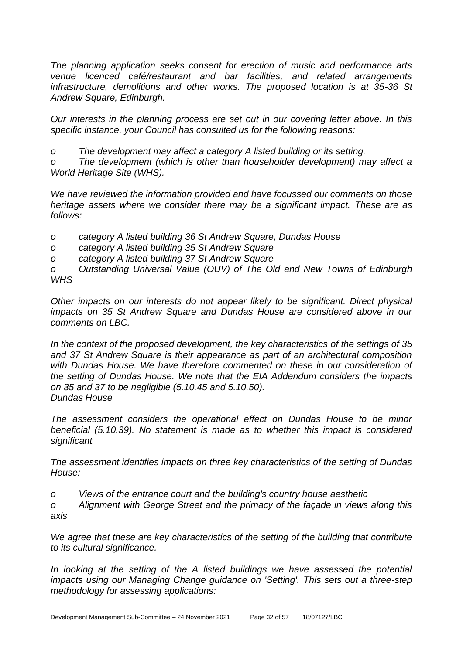*The planning application seeks consent for erection of music and performance arts venue licenced café/restaurant and bar facilities, and related arrangements infrastructure, demolitions and other works. The proposed location is at 35-36 St Andrew Square, Edinburgh.*

*Our interests in the planning process are set out in our covering letter above. In this specific instance, your Council has consulted us for the following reasons:*

*o The development may affect a category A listed building or its setting.*

*o The development (which is other than householder development) may affect a World Heritage Site (WHS).*

*We have reviewed the information provided and have focussed our comments on those heritage assets where we consider there may be a significant impact. These are as follows:*

*o category A listed building 36 St Andrew Square, Dundas House*

*o category A listed building 35 St Andrew Square*

*o category A listed building 37 St Andrew Square*

*o Outstanding Universal Value (OUV) of The Old and New Towns of Edinburgh WHS*

*Other impacts on our interests do not appear likely to be significant. Direct physical impacts on 35 St Andrew Square and Dundas House are considered above in our comments on LBC.*

*In the context of the proposed development, the key characteristics of the settings of 35 and 37 St Andrew Square is their appearance as part of an architectural composition*  with Dundas House. We have therefore commented on these in our consideration of *the setting of Dundas House. We note that the EIA Addendum considers the impacts on 35 and 37 to be negligible (5.10.45 and 5.10.50). Dundas House*

*The assessment considers the operational effect on Dundas House to be minor beneficial (5.10.39). No statement is made as to whether this impact is considered significant.*

*The assessment identifies impacts on three key characteristics of the setting of Dundas House:*

*o Views of the entrance court and the building's country house aesthetic*

*o Alignment with George Street and the primacy of the façade in views along this axis*

*We agree that these are key characteristics of the setting of the building that contribute to its cultural significance.*

In looking at the setting of the A listed buildings we have assessed the potential *impacts using our Managing Change guidance on 'Setting'. This sets out a three-step methodology for assessing applications:*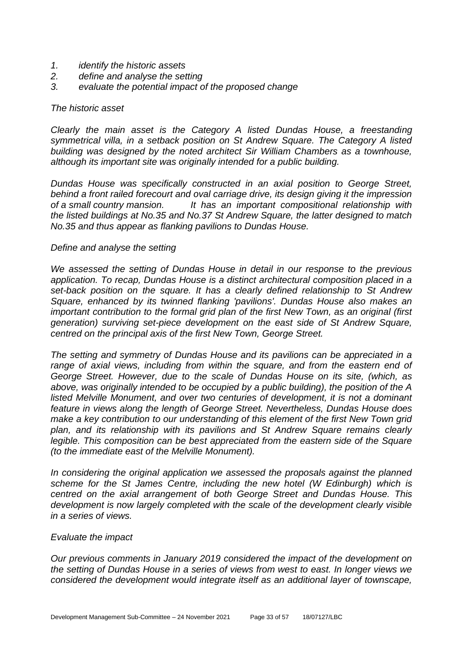- *1. identify the historic assets*
- *2. define and analyse the setting*
- *3. evaluate the potential impact of the proposed change*

#### *The historic asset*

*Clearly the main asset is the Category A listed Dundas House, a freestanding symmetrical villa, in a setback position on St Andrew Square. The Category A listed building was designed by the noted architect Sir William Chambers as a townhouse, although its important site was originally intended for a public building.*

*Dundas House was specifically constructed in an axial position to George Street, behind a front railed forecourt and oval carriage drive, its design giving it the impression of a small country mansion. It has an important compositional relationship with the listed buildings at No.35 and No.37 St Andrew Square, the latter designed to match No.35 and thus appear as flanking pavilions to Dundas House.*

#### *Define and analyse the setting*

*We assessed the setting of Dundas House in detail in our response to the previous application. To recap, Dundas House is a distinct architectural composition placed in a set-back position on the square. It has a clearly defined relationship to St Andrew Square, enhanced by its twinned flanking 'pavilions'. Dundas House also makes an important contribution to the formal grid plan of the first New Town, as an original (first generation) surviving set-piece development on the east side of St Andrew Square, centred on the principal axis of the first New Town, George Street.*

*The setting and symmetry of Dundas House and its pavilions can be appreciated in a*  range of axial views, including from within the square, and from the eastern end of *George Street. However, due to the scale of Dundas House on its site, (which, as above, was originally intended to be occupied by a public building), the position of the A listed Melville Monument, and over two centuries of development, it is not a dominant feature in views along the length of George Street. Nevertheless, Dundas House does make a key contribution to our understanding of this element of the first New Town grid plan, and its relationship with its pavilions and St Andrew Square remains clearly legible. This composition can be best appreciated from the eastern side of the Square (to the immediate east of the Melville Monument).*

*In considering the original application we assessed the proposals against the planned scheme for the St James Centre, including the new hotel (W Edinburgh) which is centred on the axial arrangement of both George Street and Dundas House. This development is now largely completed with the scale of the development clearly visible in a series of views.*

#### *Evaluate the impact*

*Our previous comments in January 2019 considered the impact of the development on the setting of Dundas House in a series of views from west to east. In longer views we considered the development would integrate itself as an additional layer of townscape,*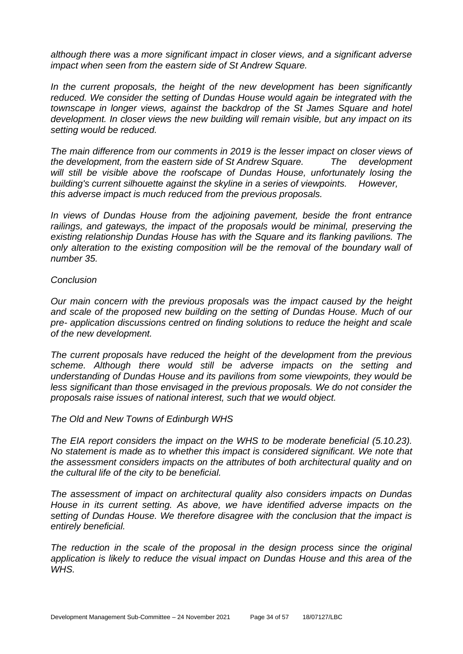*although there was a more significant impact in closer views, and a significant adverse impact when seen from the eastern side of St Andrew Square.*

*In the current proposals, the height of the new development has been significantly*  reduced. We consider the setting of Dundas House would again be integrated with the *townscape in longer views, against the backdrop of the St James Square and hotel development. In closer views the new building will remain visible, but any impact on its setting would be reduced.*

*The main difference from our comments in 2019 is the lesser impact on closer views of the development, from the eastern side of St Andrew Square. The development will still be visible above the roofscape of Dundas House, unfortunately losing the building's current silhouette against the skyline in a series of viewpoints. However, this adverse impact is much reduced from the previous proposals.*

*In views of Dundas House from the adjoining pavement, beside the front entrance railings, and gateways, the impact of the proposals would be minimal, preserving the existing relationship Dundas House has with the Square and its flanking pavilions. The only alteration to the existing composition will be the removal of the boundary wall of number 35.*

#### *Conclusion*

*Our main concern with the previous proposals was the impact caused by the height and scale of the proposed new building on the setting of Dundas House. Much of our pre- application discussions centred on finding solutions to reduce the height and scale of the new development.*

*The current proposals have reduced the height of the development from the previous scheme. Although there would still be adverse impacts on the setting and understanding of Dundas House and its pavilions from some viewpoints, they would be less significant than those envisaged in the previous proposals. We do not consider the proposals raise issues of national interest, such that we would object.*

*The Old and New Towns of Edinburgh WHS*

*The EIA report considers the impact on the WHS to be moderate beneficial (5.10.23). No statement is made as to whether this impact is considered significant. We note that the assessment considers impacts on the attributes of both architectural quality and on the cultural life of the city to be beneficial.*

*The assessment of impact on architectural quality also considers impacts on Dundas House in its current setting. As above, we have identified adverse impacts on the setting of Dundas House. We therefore disagree with the conclusion that the impact is entirely beneficial.*

*The reduction in the scale of the proposal in the design process since the original application is likely to reduce the visual impact on Dundas House and this area of the WHS.*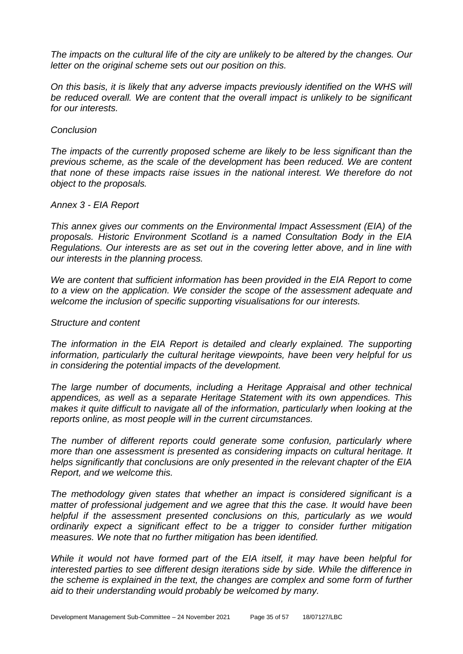*The impacts on the cultural life of the city are unlikely to be altered by the changes. Our letter on the original scheme sets out our position on this.*

*On this basis, it is likely that any adverse impacts previously identified on the WHS will be reduced overall. We are content that the overall impact is unlikely to be significant for our interests.*

#### *Conclusion*

*The impacts of the currently proposed scheme are likely to be less significant than the previous scheme, as the scale of the development has been reduced. We are content that none of these impacts raise issues in the national interest. We therefore do not object to the proposals.*

#### *Annex 3 - EIA Report*

*This annex gives our comments on the Environmental Impact Assessment (EIA) of the proposals. Historic Environment Scotland is a named Consultation Body in the EIA Regulations. Our interests are as set out in the covering letter above, and in line with our interests in the planning process.*

*We are content that sufficient information has been provided in the EIA Report to come to a view on the application. We consider the scope of the assessment adequate and welcome the inclusion of specific supporting visualisations for our interests.*

#### *Structure and content*

*The information in the EIA Report is detailed and clearly explained. The supporting information, particularly the cultural heritage viewpoints, have been very helpful for us in considering the potential impacts of the development.*

*The large number of documents, including a Heritage Appraisal and other technical appendices, as well as a separate Heritage Statement with its own appendices. This makes it quite difficult to navigate all of the information, particularly when looking at the reports online, as most people will in the current circumstances.*

*The number of different reports could generate some confusion, particularly where more than one assessment is presented as considering impacts on cultural heritage. It helps significantly that conclusions are only presented in the relevant chapter of the EIA Report, and we welcome this.*

*The methodology given states that whether an impact is considered significant is a matter of professional judgement and we agree that this the case. It would have been helpful if the assessment presented conclusions on this, particularly as we would ordinarily expect a significant effect to be a trigger to consider further mitigation measures. We note that no further mitigation has been identified.*

*While it would not have formed part of the EIA itself, it may have been helpful for interested parties to see different design iterations side by side. While the difference in the scheme is explained in the text, the changes are complex and some form of further aid to their understanding would probably be welcomed by many.*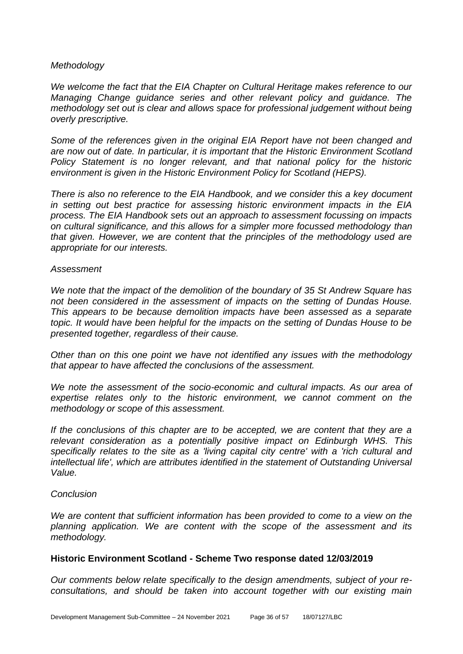#### *Methodology*

*We welcome the fact that the EIA Chapter on Cultural Heritage makes reference to our Managing Change guidance series and other relevant policy and guidance. The methodology set out is clear and allows space for professional judgement without being overly prescriptive.*

*Some of the references given in the original EIA Report have not been changed and are now out of date. In particular, it is important that the Historic Environment Scotland Policy Statement is no longer relevant, and that national policy for the historic environment is given in the Historic Environment Policy for Scotland (HEPS).*

*There is also no reference to the EIA Handbook, and we consider this a key document in setting out best practice for assessing historic environment impacts in the EIA process. The EIA Handbook sets out an approach to assessment focussing on impacts on cultural significance, and this allows for a simpler more focussed methodology than that given. However, we are content that the principles of the methodology used are appropriate for our interests.*

#### *Assessment*

*We note that the impact of the demolition of the boundary of 35 St Andrew Square has not been considered in the assessment of impacts on the setting of Dundas House. This appears to be because demolition impacts have been assessed as a separate topic. It would have been helpful for the impacts on the setting of Dundas House to be presented together, regardless of their cause.*

*Other than on this one point we have not identified any issues with the methodology that appear to have affected the conclusions of the assessment.*

*We note the assessment of the socio-economic and cultural impacts. As our area of expertise relates only to the historic environment, we cannot comment on the methodology or scope of this assessment.*

*If the conclusions of this chapter are to be accepted, we are content that they are a relevant consideration as a potentially positive impact on Edinburgh WHS. This specifically relates to the site as a 'living capital city centre' with a 'rich cultural and intellectual life', which are attributes identified in the statement of Outstanding Universal Value.*

#### *Conclusion*

*We are content that sufficient information has been provided to come to a view on the planning application. We are content with the scope of the assessment and its methodology.*

#### **Historic Environment Scotland - Scheme Two response dated 12/03/2019**

*Our comments below relate specifically to the design amendments, subject of your reconsultations, and should be taken into account together with our existing main*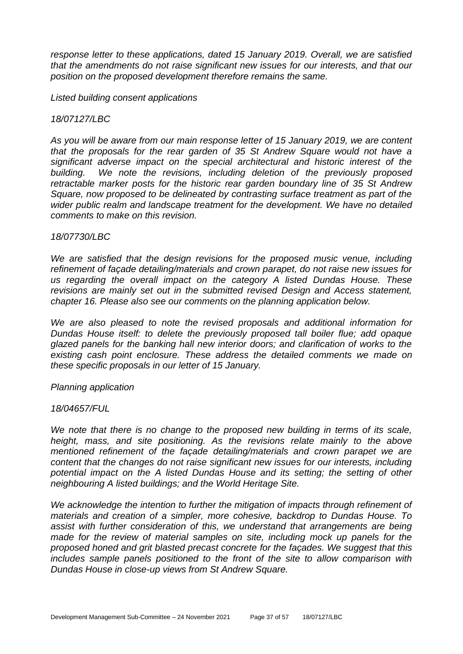*response letter to these applications, dated 15 January 2019. Overall, we are satisfied that the amendments do not raise significant new issues for our interests, and that our position on the proposed development therefore remains the same.* 

*Listed building consent applications* 

#### *18/07127/LBC*

*As you will be aware from our main response letter of 15 January 2019, we are content that the proposals for the rear garden of 35 St Andrew Square would not have a significant adverse impact on the special architectural and historic interest of the building. We note the revisions, including deletion of the previously proposed retractable marker posts for the historic rear garden boundary line of 35 St Andrew Square, now proposed to be delineated by contrasting surface treatment as part of the wider public realm and landscape treatment for the development. We have no detailed comments to make on this revision.* 

#### *18/07730/LBC*

We are satisfied that the design revisions for the proposed music venue, including *refinement of façade detailing/materials and crown parapet, do not raise new issues for us regarding the overall impact on the category A listed Dundas House. These revisions are mainly set out in the submitted revised Design and Access statement, chapter 16. Please also see our comments on the planning application below.* 

*We are also pleased to note the revised proposals and additional information for Dundas House itself: to delete the previously proposed tall boiler flue; add opaque glazed panels for the banking hall new interior doors; and clarification of works to the existing cash point enclosure. These address the detailed comments we made on these specific proposals in our letter of 15 January.* 

#### *Planning application*

#### *18/04657/FUL*

*We note that there is no change to the proposed new building in terms of its scale, height, mass, and site positioning. As the revisions relate mainly to the above mentioned refinement of the façade detailing/materials and crown parapet we are content that the changes do not raise significant new issues for our interests, including potential impact on the A listed Dundas House and its setting; the setting of other neighbouring A listed buildings; and the World Heritage Site.* 

*We acknowledge the intention to further the mitigation of impacts through refinement of materials and creation of a simpler, more cohesive, backdrop to Dundas House. To assist with further consideration of this, we understand that arrangements are being made for the review of material samples on site, including mock up panels for the proposed honed and grit blasted precast concrete for the façades. We suggest that this includes sample panels positioned to the front of the site to allow comparison with Dundas House in close-up views from St Andrew Square.*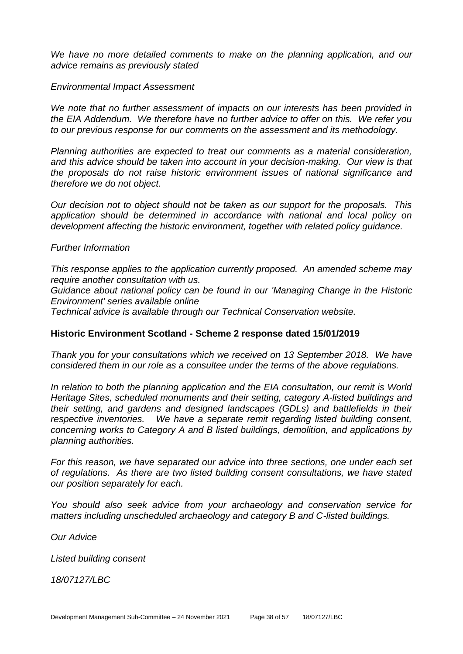*We have no more detailed comments to make on the planning application, and our advice remains as previously stated* 

#### *Environmental Impact Assessment*

*We note that no further assessment of impacts on our interests has been provided in the EIA Addendum. We therefore have no further advice to offer on this. We refer you to our previous response for our comments on the assessment and its methodology.* 

*Planning authorities are expected to treat our comments as a material consideration, and this advice should be taken into account in your decision-making. Our view is that the proposals do not raise historic environment issues of national significance and therefore we do not object.* 

*Our decision not to object should not be taken as our support for the proposals. This application should be determined in accordance with national and local policy on development affecting the historic environment, together with related policy guidance.* 

#### *Further Information*

*This response applies to the application currently proposed. An amended scheme may require another consultation with us.* 

*Guidance about national policy can be found in our 'Managing Change in the Historic Environment' series available online*

*Technical advice is available through our Technical Conservation website.*

#### **Historic Environment Scotland - Scheme 2 response dated 15/01/2019**

*Thank you for your consultations which we received on 13 September 2018. We have considered them in our role as a consultee under the terms of the above regulations.* 

*In relation to both the planning application and the EIA consultation, our remit is World Heritage Sites, scheduled monuments and their setting, category A-listed buildings and their setting, and gardens and designed landscapes (GDLs) and battlefields in their respective inventories. We have a separate remit regarding listed building consent, concerning works to Category A and B listed buildings, demolition, and applications by planning authorities.* 

*For this reason, we have separated our advice into three sections, one under each set of regulations. As there are two listed building consent consultations, we have stated our position separately for each.* 

*You should also seek advice from your archaeology and conservation service for matters including unscheduled archaeology and category B and C-listed buildings.* 

*Our Advice* 

*Listed building consent*

*18/07127/LBC*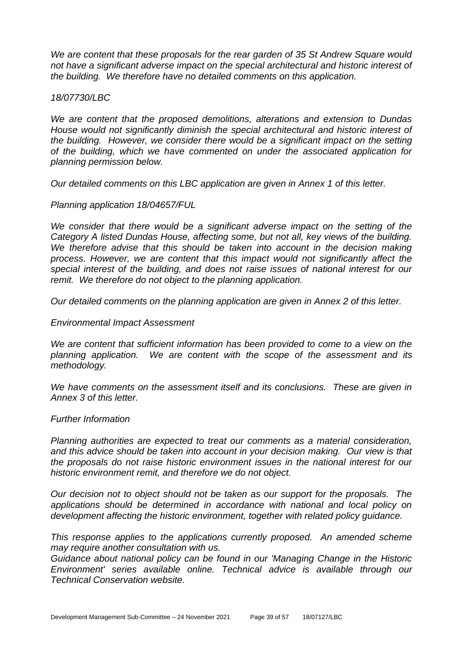*We are content that these proposals for the rear garden of 35 St Andrew Square would not have a significant adverse impact on the special architectural and historic interest of the building. We therefore have no detailed comments on this application.* 

#### *18/07730/LBC*

*We are content that the proposed demolitions, alterations and extension to Dundas House would not significantly diminish the special architectural and historic interest of the building. However, we consider there would be a significant impact on the setting of the building, which we have commented on under the associated application for planning permission below.* 

*Our detailed comments on this LBC application are given in Annex 1 of this letter.* 

#### *Planning application 18/04657/FUL*

*We consider that there would be a significant adverse impact on the setting of the Category A listed Dundas House, affecting some, but not all, key views of the building. We therefore advise that this should be taken into account in the decision making process. However, we are content that this impact would not significantly affect the special interest of the building, and does not raise issues of national interest for our remit. We therefore do not object to the planning application.* 

*Our detailed comments on the planning application are given in Annex 2 of this letter.* 

#### *Environmental Impact Assessment*

*We are content that sufficient information has been provided to come to a view on the planning application. We are content with the scope of the assessment and its methodology.* 

*We have comments on the assessment itself and its conclusions. These are given in Annex 3 of this letter.* 

#### *Further Information*

*Planning authorities are expected to treat our comments as a material consideration, and this advice should be taken into account in your decision making. Our view is that the proposals do not raise historic environment issues in the national interest for our historic environment remit, and therefore we do not object.* 

*Our decision not to object should not be taken as our support for the proposals. The applications should be determined in accordance with national and local policy on development affecting the historic environment, together with related policy guidance.* 

*This response applies to the applications currently proposed. An amended scheme may require another consultation with us.* 

*Guidance about national policy can be found in our 'Managing Change in the Historic Environment' series available online. Technical advice is available through our Technical Conservation website.*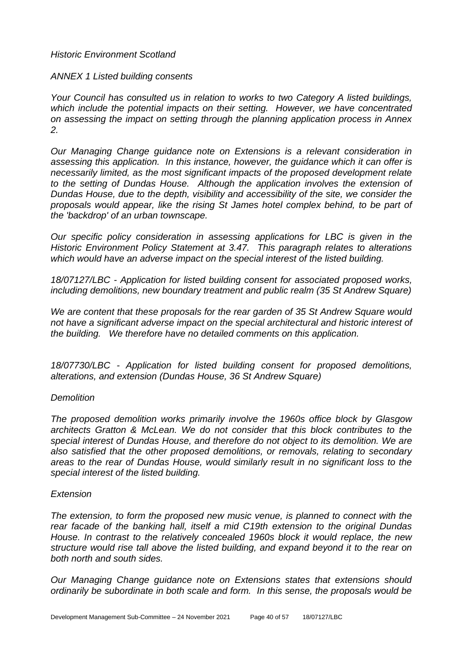# *Historic Environment Scotland*

#### *ANNEX 1 Listed building consents*

*Your Council has consulted us in relation to works to two Category A listed buildings, which include the potential impacts on their setting. However, we have concentrated on assessing the impact on setting through the planning application process in Annex 2.* 

*Our Managing Change guidance note on Extensions is a relevant consideration in assessing this application. In this instance, however, the guidance which it can offer is necessarily limited, as the most significant impacts of the proposed development relate to the setting of Dundas House. Although the application involves the extension of Dundas House, due to the depth, visibility and accessibility of the site, we consider the proposals would appear, like the rising St James hotel complex behind, to be part of the 'backdrop' of an urban townscape.* 

*Our specific policy consideration in assessing applications for LBC is given in the Historic Environment Policy Statement at 3.47. This paragraph relates to alterations which would have an adverse impact on the special interest of the listed building.* 

*18/07127/LBC - Application for listed building consent for associated proposed works, including demolitions, new boundary treatment and public realm (35 St Andrew Square)* 

*We are content that these proposals for the rear garden of 35 St Andrew Square would not have a significant adverse impact on the special architectural and historic interest of the building. We therefore have no detailed comments on this application.* 

*18/07730/LBC - Application for listed building consent for proposed demolitions, alterations, and extension (Dundas House, 36 St Andrew Square)* 

#### *Demolition*

*The proposed demolition works primarily involve the 1960s office block by Glasgow architects Gratton & McLean. We do not consider that this block contributes to the special interest of Dundas House, and therefore do not object to its demolition. We are also satisfied that the other proposed demolitions, or removals, relating to secondary areas to the rear of Dundas House, would similarly result in no significant loss to the special interest of the listed building.* 

#### *Extension*

*The extension, to form the proposed new music venue, is planned to connect with the rear facade of the banking hall, itself a mid C19th extension to the original Dundas House. In contrast to the relatively concealed 1960s block it would replace, the new structure would rise tall above the listed building, and expand beyond it to the rear on both north and south sides.* 

*Our Managing Change guidance note on Extensions states that extensions should ordinarily be subordinate in both scale and form. In this sense, the proposals would be*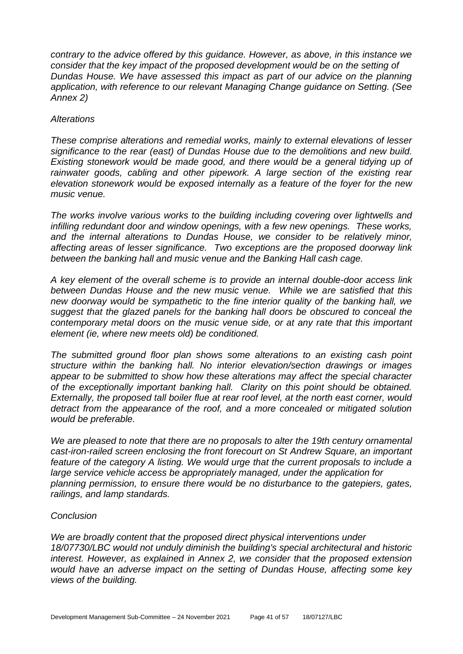*contrary to the advice offered by this guidance. However, as above, in this instance we consider that the key impact of the proposed development would be on the setting of Dundas House. We have assessed this impact as part of our advice on the planning application, with reference to our relevant Managing Change guidance on Setting. (See Annex 2)* 

#### *Alterations*

*These comprise alterations and remedial works, mainly to external elevations of lesser significance to the rear (east) of Dundas House due to the demolitions and new build. Existing stonework would be made good, and there would be a general tidying up of*  rainwater goods, cabling and other pipework. A large section of the existing rear *elevation stonework would be exposed internally as a feature of the foyer for the new music venue.* 

*The works involve various works to the building including covering over lightwells and infilling redundant door and window openings, with a few new openings. These works, and the internal alterations to Dundas House, we consider to be relatively minor, affecting areas of lesser significance. Two exceptions are the proposed doorway link between the banking hall and music venue and the Banking Hall cash cage.* 

*A key element of the overall scheme is to provide an internal double-door access link between Dundas House and the new music venue. While we are satisfied that this new doorway would be sympathetic to the fine interior quality of the banking hall, we suggest that the glazed panels for the banking hall doors be obscured to conceal the contemporary metal doors on the music venue side, or at any rate that this important element (ie, where new meets old) be conditioned.* 

*The submitted ground floor plan shows some alterations to an existing cash point structure within the banking hall. No interior elevation/section drawings or images appear to be submitted to show how these alterations may affect the special character of the exceptionally important banking hall. Clarity on this point should be obtained. Externally, the proposed tall boiler flue at rear roof level, at the north east corner, would detract from the appearance of the roof, and a more concealed or mitigated solution would be preferable.* 

*We are pleased to note that there are no proposals to alter the 19th century ornamental cast-iron-railed screen enclosing the front forecourt on St Andrew Square, an important feature of the category A listing. We would urge that the current proposals to include a large service vehicle access be appropriately managed, under the application for planning permission, to ensure there would be no disturbance to the gatepiers, gates, railings, and lamp standards.* 

# *Conclusion*

*We are broadly content that the proposed direct physical interventions under 18/07730/LBC would not unduly diminish the building's special architectural and historic interest. However, as explained in Annex 2, we consider that the proposed extension would have an adverse impact on the setting of Dundas House, affecting some key views of the building.*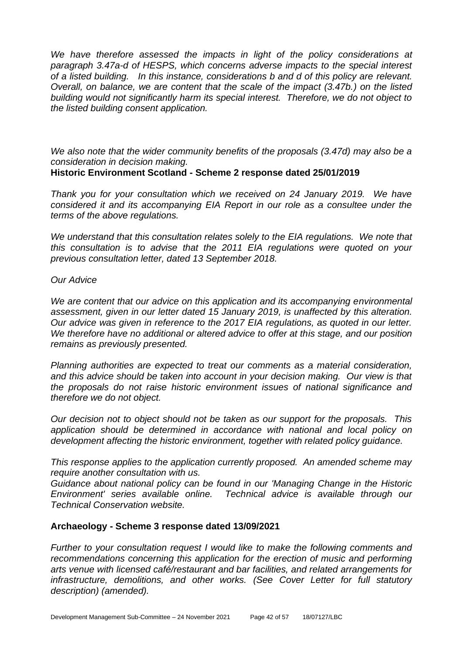*We have therefore assessed the impacts in light of the policy considerations at paragraph 3.47a-d of HESPS, which concerns adverse impacts to the special interest of a listed building. In this instance, considerations b and d of this policy are relevant. Overall, on balance, we are content that the scale of the impact (3.47b.) on the listed building would not significantly harm its special interest. Therefore, we do not object to the listed building consent application.* 

*We also note that the wider community benefits of the proposals (3.47d) may also be a consideration in decision making.*

# **Historic Environment Scotland - Scheme 2 response dated 25/01/2019**

*Thank you for your consultation which we received on 24 January 2019. We have considered it and its accompanying EIA Report in our role as a consultee under the terms of the above regulations.* 

*We understand that this consultation relates solely to the EIA regulations. We note that this consultation is to advise that the 2011 EIA regulations were quoted on your previous consultation letter, dated 13 September 2018.* 

#### *Our Advice*

*We are content that our advice on this application and its accompanying environmental assessment, given in our letter dated 15 January 2019, is unaffected by this alteration. Our advice was given in reference to the 2017 EIA regulations, as quoted in our letter. We therefore have no additional or altered advice to offer at this stage, and our position remains as previously presented.*

*Planning authorities are expected to treat our comments as a material consideration, and this advice should be taken into account in your decision making. Our view is that the proposals do not raise historic environment issues of national significance and therefore we do not object.*

*Our decision not to object should not be taken as our support for the proposals. This application should be determined in accordance with national and local policy on development affecting the historic environment, together with related policy guidance.*

*This response applies to the application currently proposed. An amended scheme may require another consultation with us.* 

*Guidance about national policy can be found in our 'Managing Change in the Historic Environment' series available online. Technical advice is available through our Technical Conservation website.*

# **Archaeology - Scheme 3 response dated 13/09/2021**

*Further to your consultation request I would like to make the following comments and recommendations concerning this application for the erection of music and performing arts venue with licensed café/restaurant and bar facilities, and related arrangements for infrastructure, demolitions, and other works. (See Cover Letter for full statutory description) (amended).*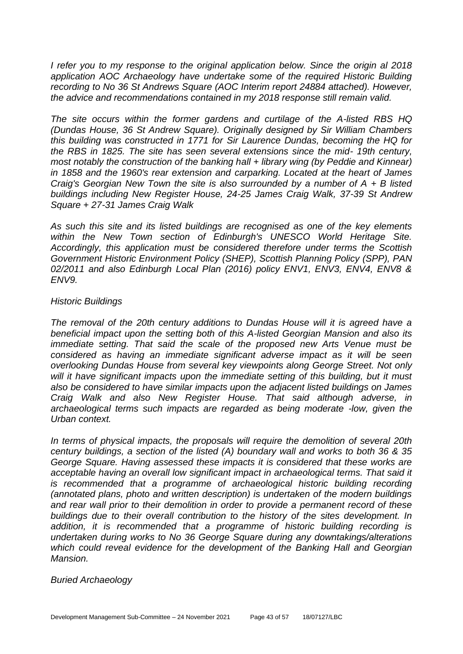*I refer you to my response to the original application below. Since the origin al 2018 application AOC Archaeology have undertake some of the required Historic Building recording to No 36 St Andrews Square (AOC Interim report 24884 attached). However, the advice and recommendations contained in my 2018 response still remain valid.*

*The site occurs within the former gardens and curtilage of the A-listed RBS HQ (Dundas House, 36 St Andrew Square). Originally designed by Sir William Chambers this building was constructed in 1771 for Sir Laurence Dundas, becoming the HQ for the RBS in 1825. The site has seen several extensions since the mid- 19th century, most notably the construction of the banking hall + library wing (by Peddie and Kinnear) in 1858 and the 1960's rear extension and carparking. Located at the heart of James Craig's Georgian New Town the site is also surrounded by a number of A + B listed buildings including New Register House, 24-25 James Craig Walk, 37-39 St Andrew Square + 27-31 James Craig Walk*

*As such this site and its listed buildings are recognised as one of the key elements within the New Town section of Edinburgh's UNESCO World Heritage Site. Accordingly, this application must be considered therefore under terms the Scottish Government Historic Environment Policy (SHEP), Scottish Planning Policy (SPP), PAN 02/2011 and also Edinburgh Local Plan (2016) policy ENV1, ENV3, ENV4, ENV8 & ENV9.*

# *Historic Buildings*

*The removal of the 20th century additions to Dundas House will it is agreed have a beneficial impact upon the setting both of this A-listed Georgian Mansion and also its immediate setting. That said the scale of the proposed new Arts Venue must be considered as having an immediate significant adverse impact as it will be seen overlooking Dundas House from several key viewpoints along George Street. Not only*  will it have significant impacts upon the immediate setting of this building, but it must *also be considered to have similar impacts upon the adjacent listed buildings on James Craig Walk and also New Register House. That said although adverse, in archaeological terms such impacts are regarded as being moderate -low, given the Urban context.*

*In terms of physical impacts, the proposals will require the demolition of several 20th century buildings, a section of the listed (A) boundary wall and works to both 36 & 35 George Square. Having assessed these impacts it is considered that these works are acceptable having an overall low significant impact in archaeological terms. That said it is recommended that a programme of archaeological historic building recording (annotated plans, photo and written description) is undertaken of the modern buildings and rear wall prior to their demolition in order to provide a permanent record of these buildings due to their overall contribution to the history of the sites development. In addition, it is recommended that a programme of historic building recording is undertaken during works to No 36 George Square during any downtakings/alterations which could reveal evidence for the development of the Banking Hall and Georgian Mansion.*

# *Buried Archaeology*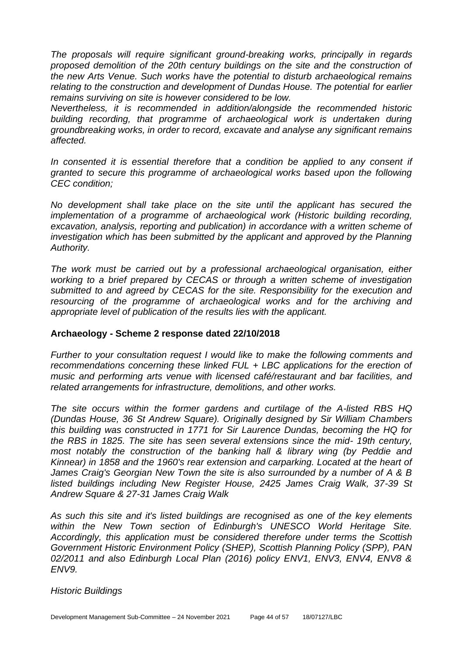*The proposals will require significant ground-breaking works, principally in regards*  proposed demolition of the 20th century buildings on the site and the construction of *the new Arts Venue. Such works have the potential to disturb archaeological remains relating to the construction and development of Dundas House. The potential for earlier remains surviving on site is however considered to be low.*

*Nevertheless, it is recommended in addition/alongside the recommended historic building recording, that programme of archaeological work is undertaken during groundbreaking works, in order to record, excavate and analyse any significant remains affected.*

In consented it is essential therefore that a condition be applied to any consent if *granted to secure this programme of archaeological works based upon the following CEC condition;*

*No development shall take place on the site until the applicant has secured the implementation of a programme of archaeological work (Historic building recording, excavation, analysis, reporting and publication) in accordance with a written scheme of investigation which has been submitted by the applicant and approved by the Planning Authority.*

*The work must be carried out by a professional archaeological organisation, either working to a brief prepared by CECAS or through a written scheme of investigation submitted to and agreed by CECAS for the site. Responsibility for the execution and resourcing of the programme of archaeological works and for the archiving and appropriate level of publication of the results lies with the applicant.*

# **Archaeology - Scheme 2 response dated 22/10/2018**

*Further to your consultation request I would like to make the following comments and recommendations concerning these linked FUL + LBC applications for the erection of music and performing arts venue with licensed café/restaurant and bar facilities, and related arrangements for infrastructure, demolitions, and other works.* 

*The site occurs within the former gardens and curtilage of the A-listed RBS HQ (Dundas House, 36 St Andrew Square). Originally designed by Sir William Chambers this building was constructed in 1771 for Sir Laurence Dundas, becoming the HQ for the RBS in 1825. The site has seen several extensions since the mid- 19th century, most notably the construction of the banking hall & library wing (by Peddie and Kinnear) in 1858 and the 1960's rear extension and carparking. Located at the heart of James Craig's Georgian New Town the site is also surrounded by a number of A & B listed buildings including New Register House, 2425 James Craig Walk, 37-39 St Andrew Square & 27-31 James Craig Walk* 

*As such this site and it's listed buildings are recognised as one of the key elements within the New Town section of Edinburgh's UNESCO World Heritage Site. Accordingly, this application must be considered therefore under terms the Scottish Government Historic Environment Policy (SHEP), Scottish Planning Policy (SPP), PAN 02/2011 and also Edinburgh Local Plan (2016) policy ENV1, ENV3, ENV4, ENV8 & ENV9.* 

# *Historic Buildings*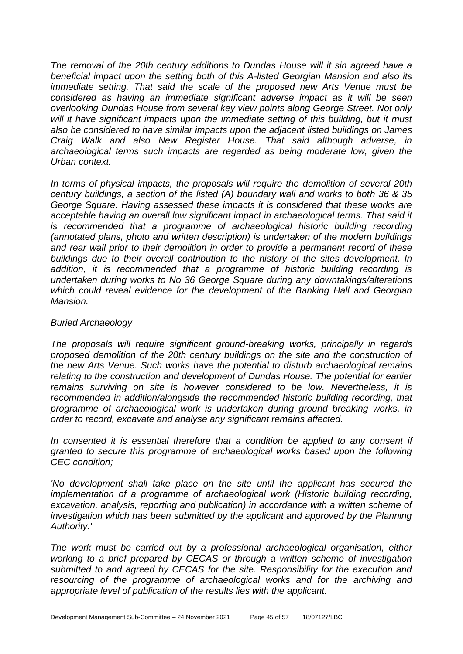*The removal of the 20th century additions to Dundas House will it sin agreed have a beneficial impact upon the setting both of this A-listed Georgian Mansion and also its immediate setting. That said the scale of the proposed new Arts Venue must be considered as having an immediate significant adverse impact as it will be seen overlooking Dundas House from several key view points along George Street. Not only* will it have significant impacts upon the immediate setting of this building, but it must *also be considered to have similar impacts upon the adjacent listed buildings on James Craig Walk and also New Register House. That said although adverse, in archaeological terms such impacts are regarded as being moderate low, given the Urban context.* 

*In terms of physical impacts, the proposals will require the demolition of several 20th century buildings, a section of the listed (A) boundary wall and works to both 36 & 35 George Square. Having assessed these impacts it is considered that these works are acceptable having an overall low significant impact in archaeological terms. That said it is recommended that a programme of archaeological historic building recording (annotated plans, photo and written description) is undertaken of the modern buildings and rear wall prior to their demolition in order to provide a permanent record of these*  **buildings due to their overall contribution to the history of the sites development.** In *addition, it is recommended that a programme of historic building recording is undertaken during works to No 36 George Square during any downtakings/alterations*  which could reveal evidence for the development of the Banking Hall and Georgian *Mansion.* 

# *Buried Archaeology*

*The proposals will require significant ground-breaking works, principally in regards proposed demolition of the 20th century buildings on the site and the construction of the new Arts Venue. Such works have the potential to disturb archaeological remains relating to the construction and development of Dundas House. The potential for earlier remains surviving on site is however considered to be low. Nevertheless, it is recommended in addition/alongside the recommended historic building recording, that programme of archaeological work is undertaken during ground breaking works, in order to record, excavate and analyse any significant remains affected.* 

In consented it is essential therefore that a condition be applied to any consent if *granted to secure this programme of archaeological works based upon the following CEC condition;* 

'No development shall take place on the site until the applicant has secured the *implementation of a programme of archaeological work (Historic building recording, excavation, analysis, reporting and publication) in accordance with a written scheme of investigation which has been submitted by the applicant and approved by the Planning Authority.'* 

*The work must be carried out by a professional archaeological organisation, either working to a brief prepared by CECAS or through a written scheme of investigation submitted to and agreed by CECAS for the site. Responsibility for the execution and*  resourcing of the programme of archaeological works and for the archiving and *appropriate level of publication of the results lies with the applicant.*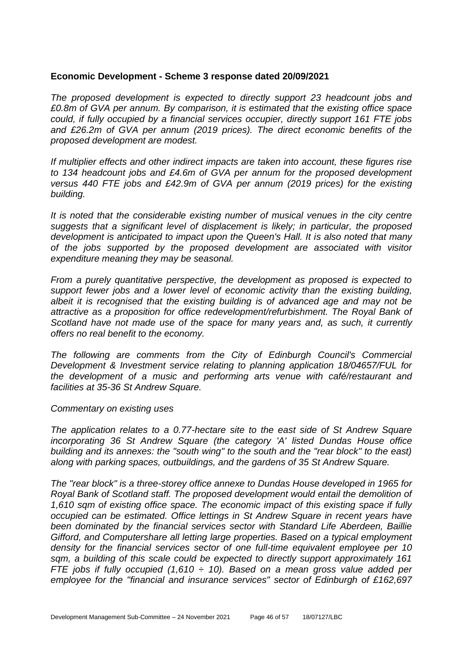#### **Economic Development - Scheme 3 response dated 20/09/2021**

*The proposed development is expected to directly support 23 headcount jobs and £0.8m of GVA per annum. By comparison, it is estimated that the existing office space could, if fully occupied by a financial services occupier, directly support 161 FTE jobs and £26.2m of GVA per annum (2019 prices). The direct economic benefits of the proposed development are modest.* 

*If multiplier effects and other indirect impacts are taken into account, these figures rise to 134 headcount jobs and £4.6m of GVA per annum for the proposed development versus 440 FTE jobs and £42.9m of GVA per annum (2019 prices) for the existing building.*

*It is noted that the considerable existing number of musical venues in the city centre suggests that a significant level of displacement is likely; in particular, the proposed development is anticipated to impact upon the Queen's Hall. It is also noted that many of the jobs supported by the proposed development are associated with visitor expenditure meaning they may be seasonal.*

*From a purely quantitative perspective, the development as proposed is expected to support fewer jobs and a lower level of economic activity than the existing building, albeit it is recognised that the existing building is of advanced age and may not be attractive as a proposition for office redevelopment/refurbishment. The Royal Bank of Scotland have not made use of the space for many years and, as such, it currently offers no real benefit to the economy.*

*The following are comments from the City of Edinburgh Council's Commercial Development & Investment service relating to planning application 18/04657/FUL for the development of a music and performing arts venue with café/restaurant and facilities at 35-36 St Andrew Square.*

#### *Commentary on existing uses*

*The application relates to a 0.77-hectare site to the east side of St Andrew Square incorporating 36 St Andrew Square (the category 'A' listed Dundas House office building and its annexes: the "south wing" to the south and the "rear block" to the east) along with parking spaces, outbuildings, and the gardens of 35 St Andrew Square.*

*The "rear block" is a three-storey office annexe to Dundas House developed in 1965 for Royal Bank of Scotland staff. The proposed development would entail the demolition of 1,610 sqm of existing office space. The economic impact of this existing space if fully occupied can be estimated. Office lettings in St Andrew Square in recent years have been dominated by the financial services sector with Standard Life Aberdeen, Baillie Gifford, and Computershare all letting large properties. Based on a typical employment density for the financial services sector of one full-time equivalent employee per 10 sqm, a building of this scale could be expected to directly support approximately 161 FTE jobs if fully occupied (1,610 ÷ 10). Based on a mean gross value added per employee for the "financial and insurance services" sector of Edinburgh of £162,697*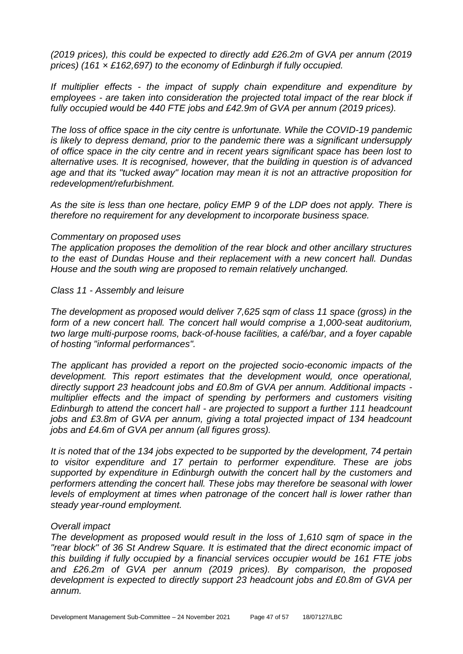*(2019 prices), this could be expected to directly add £26.2m of GVA per annum (2019 prices) (161 × £162,697) to the economy of Edinburgh if fully occupied.*

*If multiplier effects - the impact of supply chain expenditure and expenditure by employees - are taken into consideration the projected total impact of the rear block if fully occupied would be 440 FTE jobs and £42.9m of GVA per annum (2019 prices).*

*The loss of office space in the city centre is unfortunate. While the COVID-19 pandemic is likely to depress demand, prior to the pandemic there was a significant undersupply of office space in the city centre and in recent years significant space has been lost to alternative uses. It is recognised, however, that the building in question is of advanced age and that its "tucked away" location may mean it is not an attractive proposition for redevelopment/refurbishment.* 

*As the site is less than one hectare, policy EMP 9 of the LDP does not apply. There is therefore no requirement for any development to incorporate business space.*

#### *Commentary on proposed uses*

*The application proposes the demolition of the rear block and other ancillary structures to the east of Dundas House and their replacement with a new concert hall. Dundas House and the south wing are proposed to remain relatively unchanged.*

#### *Class 11 - Assembly and leisure*

*The development as proposed would deliver 7,625 sqm of class 11 space (gross) in the*  form of a new concert hall. The concert hall would comprise a 1,000-seat auditorium, *two large multi-purpose rooms, back-of-house facilities, a café/bar, and a foyer capable of hosting "informal performances".*

*The applicant has provided a report on the projected socio-economic impacts of the development. This report estimates that the development would, once operational, directly support 23 headcount jobs and £0.8m of GVA per annum. Additional impacts multiplier effects and the impact of spending by performers and customers visiting Edinburgh to attend the concert hall - are projected to support a further 111 headcount jobs and £3.8m of GVA per annum, giving a total projected impact of 134 headcount jobs and £4.6m of GVA per annum (all figures gross).*

*It is noted that of the 134 jobs expected to be supported by the development, 74 pertain to visitor expenditure and 17 pertain to performer expenditure. These are jobs supported by expenditure in Edinburgh outwith the concert hall by the customers and performers attending the concert hall. These jobs may therefore be seasonal with lower levels of employment at times when patronage of the concert hall is lower rather than steady year-round employment.*

#### *Overall impact*

*The development as proposed would result in the loss of 1,610 sqm of space in the "rear block" of 36 St Andrew Square. It is estimated that the direct economic impact of this building if fully occupied by a financial services occupier would be 161 FTE jobs and £26.2m of GVA per annum (2019 prices). By comparison, the proposed development is expected to directly support 23 headcount jobs and £0.8m of GVA per annum.*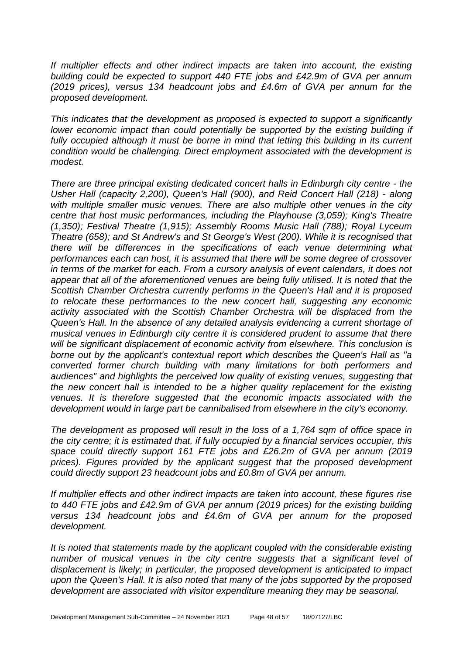*If multiplier effects and other indirect impacts are taken into account, the existing building could be expected to support 440 FTE jobs and £42.9m of GVA per annum (2019 prices), versus 134 headcount jobs and £4.6m of GVA per annum for the proposed development.*

*This indicates that the development as proposed is expected to support a significantly lower economic impact than could potentially be supported by the existing building if* fully occupied although it must be borne in mind that letting this building in its current *condition would be challenging. Direct employment associated with the development is modest.*

*There are three principal existing dedicated concert halls in Edinburgh city centre - the Usher Hall (capacity 2,200), Queen's Hall (900), and Reid Concert Hall (218) - along with multiple smaller music venues. There are also multiple other venues in the city centre that host music performances, including the Playhouse (3,059); King's Theatre (1,350); Festival Theatre (1,915); Assembly Rooms Music Hall (788); Royal Lyceum Theatre (658); and St Andrew's and St George's West (200). While it is recognised that there will be differences in the specifications of each venue determining what performances each can host, it is assumed that there will be some degree of crossover in terms of the market for each. From a cursory analysis of event calendars, it does not appear that all of the aforementioned venues are being fully utilised. It is noted that the Scottish Chamber Orchestra currently performs in the Queen's Hall and it is proposed to relocate these performances to the new concert hall, suggesting any economic activity associated with the Scottish Chamber Orchestra will be displaced from the Queen's Hall. In the absence of any detailed analysis evidencing a current shortage of musical venues in Edinburgh city centre it is considered prudent to assume that there will be significant displacement of economic activity from elsewhere. This conclusion is borne out by the applicant's contextual report which describes the Queen's Hall as "a converted former church building with many limitations for both performers and audiences" and highlights the perceived low quality of existing venues, suggesting that the new concert hall is intended to be a higher quality replacement for the existing venues. It is therefore suggested that the economic impacts associated with the development would in large part be cannibalised from elsewhere in the city's economy.*

*The development as proposed will result in the loss of a 1,764 sqm of office space in the city centre; it is estimated that, if fully occupied by a financial services occupier, this space could directly support 161 FTE jobs and £26.2m of GVA per annum (2019 prices). Figures provided by the applicant suggest that the proposed development could directly support 23 headcount jobs and £0.8m of GVA per annum.*

*If multiplier effects and other indirect impacts are taken into account, these figures rise to 440 FTE jobs and £42.9m of GVA per annum (2019 prices) for the existing building versus 134 headcount jobs and £4.6m of GVA per annum for the proposed development.*

*It is noted that statements made by the applicant coupled with the considerable existing number of musical venues in the city centre suggests that a significant level of displacement is likely; in particular, the proposed development is anticipated to impact upon the Queen's Hall. It is also noted that many of the jobs supported by the proposed development are associated with visitor expenditure meaning they may be seasonal.*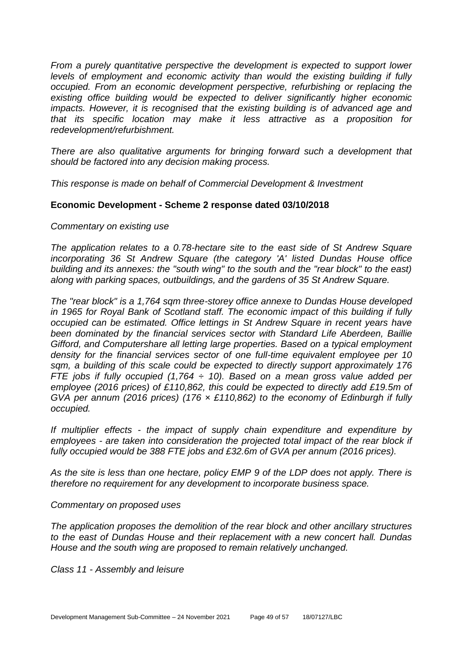*From a purely quantitative perspective the development is expected to support lower levels of employment and economic activity than would the existing building if fully occupied. From an economic development perspective, refurbishing or replacing the existing office building would be expected to deliver significantly higher economic impacts. However, it is recognised that the existing building is of advanced age and that its specific location may make it less attractive as a proposition for redevelopment/refurbishment.* 

*There are also qualitative arguments for bringing forward such a development that should be factored into any decision making process.*

*This response is made on behalf of Commercial Development & Investment*

#### **Economic Development - Scheme 2 response dated 03/10/2018**

#### *Commentary on existing use*

*The application relates to a 0.78-hectare site to the east side of St Andrew Square incorporating 36 St Andrew Square (the category 'A' listed Dundas House office building and its annexes: the "south wing" to the south and the "rear block" to the east) along with parking spaces, outbuildings, and the gardens of 35 St Andrew Square.*

*The "rear block" is a 1,764 sqm three-storey office annexe to Dundas House developed in 1965 for Royal Bank of Scotland staff. The economic impact of this building if fully occupied can be estimated. Office lettings in St Andrew Square in recent years have been dominated by the financial services sector with Standard Life Aberdeen, Baillie Gifford, and Computershare all letting large properties. Based on a typical employment density for the financial services sector of one full-time equivalent employee per 10 sqm, a building of this scale could be expected to directly support approximately 176 FTE jobs if fully occupied (1,764 ÷ 10). Based on a mean gross value added per employee (2016 prices) of £110,862, this could be expected to directly add £19.5m of GVA per annum (2016 prices) (176 × £110,862) to the economy of Edinburgh if fully occupied.*

*If multiplier effects - the impact of supply chain expenditure and expenditure by employees - are taken into consideration the projected total impact of the rear block if fully occupied would be 388 FTE jobs and £32.6m of GVA per annum (2016 prices).*

*As the site is less than one hectare, policy EMP 9 of the LDP does not apply. There is therefore no requirement for any development to incorporate business space.*

#### *Commentary on proposed uses*

*The application proposes the demolition of the rear block and other ancillary structures to the east of Dundas House and their replacement with a new concert hall. Dundas House and the south wing are proposed to remain relatively unchanged.*

*Class 11 - Assembly and leisure*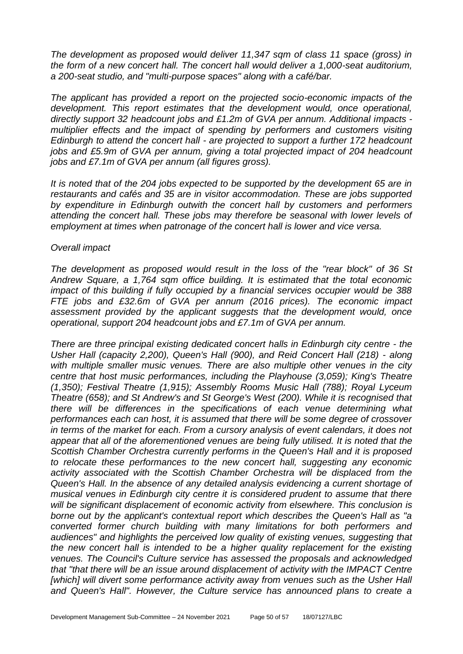*The development as proposed would deliver 11,347 sqm of class 11 space (gross) in the form of a new concert hall. The concert hall would deliver a 1,000-seat auditorium, a 200-seat studio, and "multi-purpose spaces" along with a café/bar.*

*The applicant has provided a report on the projected socio-economic impacts of the development. This report estimates that the development would, once operational, directly support 32 headcount jobs and £1.2m of GVA per annum. Additional impacts multiplier effects and the impact of spending by performers and customers visiting Edinburgh to attend the concert hall - are projected to support a further 172 headcount jobs and £5.9m of GVA per annum, giving a total projected impact of 204 headcount jobs and £7.1m of GVA per annum (all figures gross).* 

*It is noted that of the 204 jobs expected to be supported by the development 65 are in restaurants and cafés and 35 are in visitor accommodation. These are jobs supported by expenditure in Edinburgh outwith the concert hall by customers and performers attending the concert hall. These jobs may therefore be seasonal with lower levels of employment at times when patronage of the concert hall is lower and vice versa.*

#### *Overall impact*

*The development as proposed would result in the loss of the "rear block" of 36 St Andrew Square, a 1,764 sqm office building. It is estimated that the total economic impact of this building if fully occupied by a financial services occupier would be 388 FTE jobs and £32.6m of GVA per annum (2016 prices). The economic impact assessment provided by the applicant suggests that the development would, once operational, support 204 headcount jobs and £7.1m of GVA per annum.* 

*There are three principal existing dedicated concert halls in Edinburgh city centre - the Usher Hall (capacity 2,200), Queen's Hall (900), and Reid Concert Hall (218) - along with multiple smaller music venues. There are also multiple other venues in the city centre that host music performances, including the Playhouse (3,059); King's Theatre (1,350); Festival Theatre (1,915); Assembly Rooms Music Hall (788); Royal Lyceum Theatre (658); and St Andrew's and St George's West (200). While it is recognised that there will be differences in the specifications of each venue determining what performances each can host, it is assumed that there will be some degree of crossover in terms of the market for each. From a cursory analysis of event calendars, it does not appear that all of the aforementioned venues are being fully utilised. It is noted that the Scottish Chamber Orchestra currently performs in the Queen's Hall and it is proposed to relocate these performances to the new concert hall, suggesting any economic activity associated with the Scottish Chamber Orchestra will be displaced from the Queen's Hall. In the absence of any detailed analysis evidencing a current shortage of musical venues in Edinburgh city centre it is considered prudent to assume that there will be significant displacement of economic activity from elsewhere. This conclusion is borne out by the applicant's contextual report which describes the Queen's Hall as "a converted former church building with many limitations for both performers and audiences" and highlights the perceived low quality of existing venues, suggesting that the new concert hall is intended to be a higher quality replacement for the existing venues. The Council's Culture service has assessed the proposals and acknowledged that "that there will be an issue around displacement of activity with the IMPACT Centre*  [which] will divert some performance activity away from venues such as the Usher Hall *and Queen's Hall". However, the Culture service has announced plans to create a*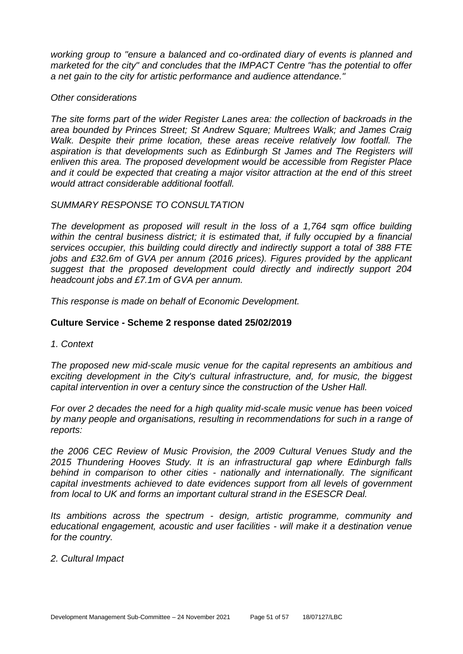*working group to "ensure a balanced and co-ordinated diary of events is planned and marketed for the city" and concludes that the IMPACT Centre "has the potential to offer a net gain to the city for artistic performance and audience attendance."*

#### *Other considerations*

*The site forms part of the wider Register Lanes area: the collection of backroads in the area bounded by Princes Street; St Andrew Square; Multrees Walk; and James Craig Walk. Despite their prime location, these areas receive relatively low footfall. The*  aspiration is that developments such as Edinburgh St James and The Registers will *enliven this area. The proposed development would be accessible from Register Place and it could be expected that creating a major visitor attraction at the end of this street would attract considerable additional footfall.*

#### *SUMMARY RESPONSE TO CONSULTATION*

*The development as proposed will result in the loss of a 1,764 sqm office building*  within the central business district; it is estimated that, if fully occupied by a financial *services occupier, this building could directly and indirectly support a total of 388 FTE jobs and £32.6m of GVA per annum (2016 prices). Figures provided by the applicant suggest that the proposed development could directly and indirectly support 204 headcount jobs and £7.1m of GVA per annum.*

*This response is made on behalf of Economic Development.*

# **Culture Service - Scheme 2 response dated 25/02/2019**

*1. Context* 

*The proposed new mid-scale music venue for the capital represents an ambitious and exciting development in the City's cultural infrastructure, and, for music, the biggest capital intervention in over a century since the construction of the Usher Hall.* 

*For over 2 decades the need for a high quality mid-scale music venue has been voiced by many people and organisations, resulting in recommendations for such in a range of reports:* 

*the 2006 CEC Review of Music Provision, the 2009 Cultural Venues Study and the 2015 Thundering Hooves Study. It is an infrastructural gap where Edinburgh falls behind in comparison to other cities - nationally and internationally. The significant capital investments achieved to date evidences support from all levels of government from local to UK and forms an important cultural strand in the ESESCR Deal.* 

*Its ambitions across the spectrum - design, artistic programme, community and educational engagement, acoustic and user facilities - will make it a destination venue for the country.* 

# *2. Cultural Impact*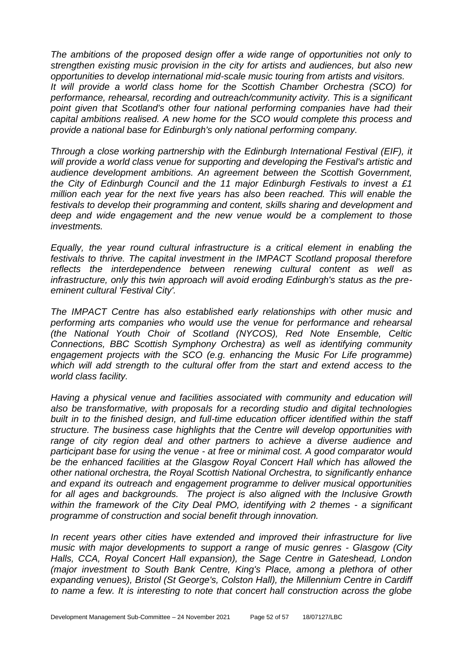*The ambitions of the proposed design offer a wide range of opportunities not only to strengthen existing music provision in the city for artists and audiences, but also new opportunities to develop international mid-scale music touring from artists and visitors. It will provide a world class home for the Scottish Chamber Orchestra (SCO) for performance, rehearsal, recording and outreach/community activity. This is a significant*  point given that Scotland's other four national performing companies have had their *capital ambitions realised. A new home for the SCO would complete this process and provide a national base for Edinburgh's only national performing company.*

*Through a close working partnership with the Edinburgh International Festival (EIF), it will provide a world class venue for supporting and developing the Festival's artistic and audience development ambitions. An agreement between the Scottish Government, the City of Edinburgh Council and the 11 major Edinburgh Festivals to invest a £1 million each year for the next five years has also been reached. This will enable the festivals to develop their programming and content, skills sharing and development and deep and wide engagement and the new venue would be a complement to those investments.* 

*Equally, the year round cultural infrastructure is a critical element in enabling the festivals to thrive. The capital investment in the IMPACT Scotland proposal therefore reflects the interdependence between renewing cultural content as well as infrastructure, only this twin approach will avoid eroding Edinburgh's status as the preeminent cultural 'Festival City'.* 

*The IMPACT Centre has also established early relationships with other music and performing arts companies who would use the venue for performance and rehearsal (the National Youth Choir of Scotland (NYCOS), Red Note Ensemble, Celtic Connections, BBC Scottish Symphony Orchestra) as well as identifying community engagement projects with the SCO (e.g. enhancing the Music For Life programme) which will add strength to the cultural offer from the start and extend access to the world class facility.* 

*Having a physical venue and facilities associated with community and education will also be transformative, with proposals for a recording studio and digital technologies built in to the finished design, and full-time education officer identified within the staff structure. The business case highlights that the Centre will develop opportunities with range of city region deal and other partners to achieve a diverse audience and participant base for using the venue - at free or minimal cost. A good comparator would be the enhanced facilities at the Glasgow Royal Concert Hall which has allowed the other national orchestra, the Royal Scottish National Orchestra, to significantly enhance and expand its outreach and engagement programme to deliver musical opportunities for all ages and backgrounds. The project is also aligned with the Inclusive Growth within the framework of the City Deal PMO, identifying with 2 themes - a significant programme of construction and social benefit through innovation.* 

*In recent years other cities have extended and improved their infrastructure for live music with major developments to support a range of music genres - Glasgow (City Halls, CCA, Royal Concert Hall expansion), the Sage Centre in Gateshead, London (major investment to South Bank Centre, King's Place, among a plethora of other expanding venues), Bristol (St George's, Colston Hall), the Millennium Centre in Cardiff to name a few. It is interesting to note that concert hall construction across the globe*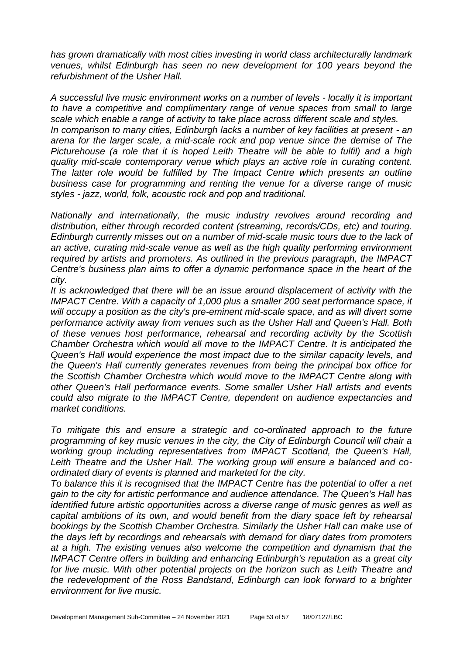*has grown dramatically with most cities investing in world class architecturally landmark venues, whilst Edinburgh has seen no new development for 100 years beyond the refurbishment of the Usher Hall.* 

*A successful live music environment works on a number of levels - locally it is important to have a competitive and complimentary range of venue spaces from small to large scale which enable a range of activity to take place across different scale and styles. In comparison to many cities, Edinburgh lacks a number of key facilities at present - an arena for the larger scale, a mid-scale rock and pop venue since the demise of The Picturehouse (a role that it is hoped Leith Theatre will be able to fulfil) and a high quality mid-scale contemporary venue which plays an active role in curating content. The latter role would be fulfilled by The Impact Centre which presents an outline business case for programming and renting the venue for a diverse range of music styles - jazz, world, folk, acoustic rock and pop and traditional.* 

*Nationally and internationally, the music industry revolves around recording and distribution, either through recorded content (streaming, records/CDs, etc) and touring. Edinburgh currently misses out on a number of mid-scale music tours due to the lack of an active, curating mid-scale venue as well as the high quality performing environment required by artists and promoters. As outlined in the previous paragraph, the IMPACT Centre's business plan aims to offer a dynamic performance space in the heart of the city.* 

*It is acknowledged that there will be an issue around displacement of activity with the IMPACT Centre. With a capacity of 1,000 plus a smaller 200 seat performance space, it will occupy a position as the city's pre-eminent mid-scale space, and as will divert some performance activity away from venues such as the Usher Hall and Queen's Hall. Both of these venues host performance, rehearsal and recording activity by the Scottish Chamber Orchestra which would all move to the IMPACT Centre. It is anticipated the Queen's Hall would experience the most impact due to the similar capacity levels, and the Queen's Hall currently generates revenues from being the principal box office for the Scottish Chamber Orchestra which would move to the IMPACT Centre along with other Queen's Hall performance events. Some smaller Usher Hall artists and events could also migrate to the IMPACT Centre, dependent on audience expectancies and market conditions.* 

*To mitigate this and ensure a strategic and co-ordinated approach to the future programming of key music venues in the city, the City of Edinburgh Council will chair a working group including representatives from IMPACT Scotland, the Queen's Hall, Leith Theatre and the Usher Hall. The working group will ensure a balanced and coordinated diary of events is planned and marketed for the city.* 

*To balance this it is recognised that the IMPACT Centre has the potential to offer a net gain to the city for artistic performance and audience attendance. The Queen's Hall has identified future artistic opportunities across a diverse range of music genres as well as capital ambitions of its own, and would benefit from the diary space left by rehearsal bookings by the Scottish Chamber Orchestra. Similarly the Usher Hall can make use of the days left by recordings and rehearsals with demand for diary dates from promoters at a high. The existing venues also welcome the competition and dynamism that the IMPACT Centre offers in building and enhancing Edinburgh's reputation as a great city for live music. With other potential projects on the horizon such as Leith Theatre and the redevelopment of the Ross Bandstand, Edinburgh can look forward to a brighter environment for live music.*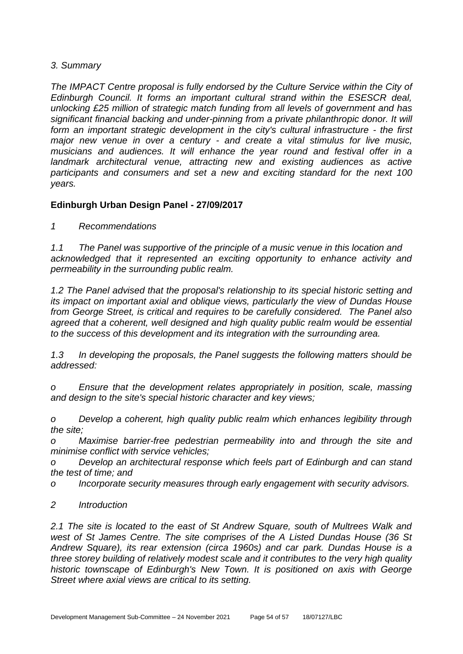# *3. Summary*

*The IMPACT Centre proposal is fully endorsed by the Culture Service within the City of Edinburgh Council. It forms an important cultural strand within the ESESCR deal, unlocking £25 million of strategic match funding from all levels of government and has significant financial backing and under-pinning from a private philanthropic donor. It will form an important strategic development in the city's cultural infrastructure - the first major new venue in over a century - and create a vital stimulus for live music, musicians and audiences. It will enhance the year round and festival offer in a landmark architectural venue, attracting new and existing audiences as active participants and consumers and set a new and exciting standard for the next 100 years.*

# **Edinburgh Urban Design Panel - 27/09/2017**

*1 Recommendations* 

*1.1 The Panel was supportive of the principle of a music venue in this location and acknowledged that it represented an exciting opportunity to enhance activity and permeability in the surrounding public realm.* 

*1.2 The Panel advised that the proposal's relationship to its special historic setting and its impact on important axial and oblique views, particularly the view of Dundas House from George Street, is critical and requires to be carefully considered. The Panel also agreed that a coherent, well designed and high quality public realm would be essential to the success of this development and its integration with the surrounding area.* 

*1.3 In developing the proposals, the Panel suggests the following matters should be addressed:* 

*o Ensure that the development relates appropriately in position, scale, massing and design to the site's special historic character and key views;* 

*o Develop a coherent, high quality public realm which enhances legibility through the site;* 

*o Maximise barrier-free pedestrian permeability into and through the site and minimise conflict with service vehicles;* 

*o Develop an architectural response which feels part of Edinburgh and can stand the test of time; and* 

*o Incorporate security measures through early engagement with security advisors.*

*2 Introduction* 

*2.1 The site is located to the east of St Andrew Square, south of Multrees Walk and west of St James Centre. The site comprises of the A Listed Dundas House (36 St Andrew Square), its rear extension (circa 1960s) and car park. Dundas House is a three storey building of relatively modest scale and it contributes to the very high quality historic townscape of Edinburgh's New Town. It is positioned on axis with George Street where axial views are critical to its setting.*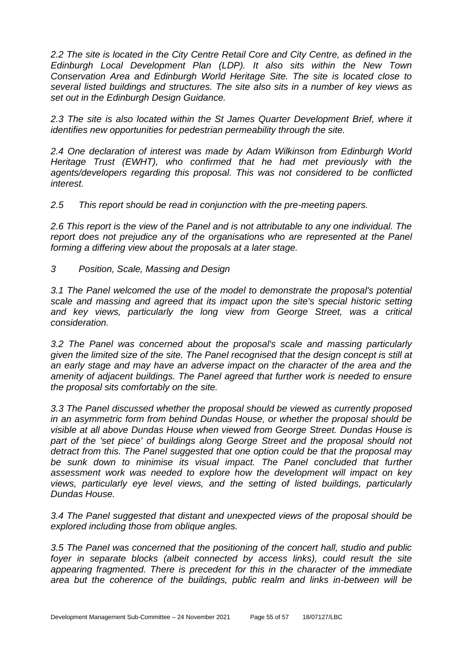*2.2 The site is located in the City Centre Retail Core and City Centre, as defined in the Edinburgh Local Development Plan (LDP). It also sits within the New Town Conservation Area and Edinburgh World Heritage Site. The site is located close to several listed buildings and structures. The site also sits in a number of key views as set out in the Edinburgh Design Guidance.* 

*2.3 The site is also located within the St James Quarter Development Brief, where it identifies new opportunities for pedestrian permeability through the site.* 

*2.4 One declaration of interest was made by Adam Wilkinson from Edinburgh World Heritage Trust (EWHT), who confirmed that he had met previously with the agents/developers regarding this proposal. This was not considered to be conflicted interest.* 

*2.5 This report should be read in conjunction with the pre-meeting papers.* 

*2.6 This report is the view of the Panel and is not attributable to any one individual. The report does not prejudice any of the organisations who are represented at the Panel forming a differing view about the proposals at a later stage.* 

*3 Position, Scale, Massing and Design* 

*3.1 The Panel welcomed the use of the model to demonstrate the proposal's potential scale and massing and agreed that its impact upon the site's special historic setting and key views, particularly the long view from George Street, was a critical consideration.* 

*3.2 The Panel was concerned about the proposal's scale and massing particularly given the limited size of the site. The Panel recognised that the design concept is still at an early stage and may have an adverse impact on the character of the area and the amenity of adjacent buildings. The Panel agreed that further work is needed to ensure the proposal sits comfortably on the site.* 

*3.3 The Panel discussed whether the proposal should be viewed as currently proposed in an asymmetric form from behind Dundas House, or whether the proposal should be visible at all above Dundas House when viewed from George Street. Dundas House is*  part of the 'set piece' of buildings along George Street and the proposal should not *detract from this. The Panel suggested that one option could be that the proposal may*  be sunk down to minimise its visual impact. The Panel concluded that further *assessment work was needed to explore how the development will impact on key views, particularly eye level views, and the setting of listed buildings, particularly Dundas House.* 

*3.4 The Panel suggested that distant and unexpected views of the proposal should be explored including those from oblique angles.* 

*3.5 The Panel was concerned that the positioning of the concert hall, studio and public*  foyer in separate blocks (albeit connected by access links), could result the site *appearing fragmented. There is precedent for this in the character of the immediate area but the coherence of the buildings, public realm and links in-between will be*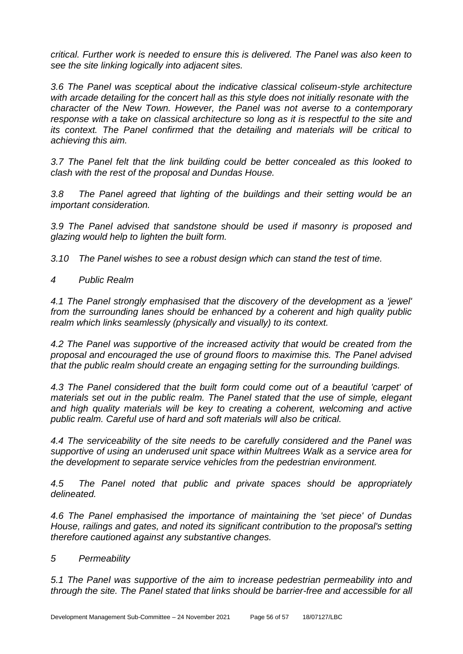*critical. Further work is needed to ensure this is delivered. The Panel was also keen to see the site linking logically into adjacent sites.* 

*3.6 The Panel was sceptical about the indicative classical coliseum-style architecture with arcade detailing for the concert hall as this style does not initially resonate with the character of the New Town. However, the Panel was not averse to a contemporary response with a take on classical architecture so long as it is respectful to the site and its context. The Panel confirmed that the detailing and materials will be critical to achieving this aim.* 

*3.7 The Panel felt that the link building could be better concealed as this looked to clash with the rest of the proposal and Dundas House.* 

*3.8 The Panel agreed that lighting of the buildings and their setting would be an important consideration.* 

*3.9 The Panel advised that sandstone should be used if masonry is proposed and glazing would help to lighten the built form.* 

*3.10 The Panel wishes to see a robust design which can stand the test of time.* 

*4 Public Realm* 

*4.1 The Panel strongly emphasised that the discovery of the development as a 'jewel' from the surrounding lanes should be enhanced by a coherent and high quality public realm which links seamlessly (physically and visually) to its context.* 

*4.2 The Panel was supportive of the increased activity that would be created from the proposal and encouraged the use of ground floors to maximise this. The Panel advised that the public realm should create an engaging setting for the surrounding buildings.* 

*4.3 The Panel considered that the built form could come out of a beautiful 'carpet' of materials set out in the public realm. The Panel stated that the use of simple, elegant*  and high quality materials will be key to creating a coherent, welcoming and active *public realm. Careful use of hard and soft materials will also be critical.* 

*4.4 The serviceability of the site needs to be carefully considered and the Panel was supportive of using an underused unit space within Multrees Walk as a service area for the development to separate service vehicles from the pedestrian environment.* 

*4.5 The Panel noted that public and private spaces should be appropriately delineated.* 

*4.6 The Panel emphasised the importance of maintaining the 'set piece' of Dundas House, railings and gates, and noted its significant contribution to the proposal's setting therefore cautioned against any substantive changes.* 

# *5 Permeability*

*5.1 The Panel was supportive of the aim to increase pedestrian permeability into and through the site. The Panel stated that links should be barrier-free and accessible for all*